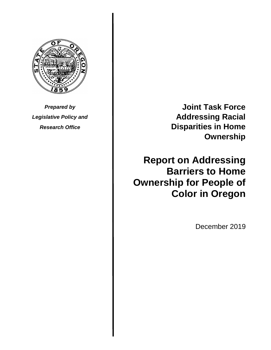

*Prepared by Legislative Policy and Research Office*

**Joint Task Force Addressing Racial Disparities in Home Ownership**

**Report on Addressing Barriers to Home Ownership for People of Color in Oregon**

December 2019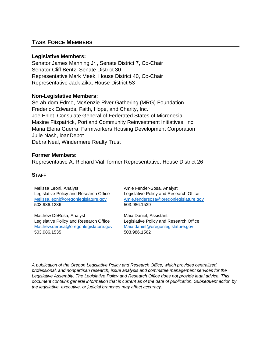# **TASK FORCE MEMBERS**

#### **Legislative Members:**

Senator James Manning Jr., Senate District 7, Co-Chair Senator Cliff Bentz, Senate District 30 Representative Mark Meek, House District 40, Co-Chair Representative Jack Zika, House District 53

#### **Non-Legislative Members:**

Se-ah-dom Edmo, McKenzie River Gathering (MRG) Foundation Frederick Edwards, Faith, Hope, and Charity, Inc. Joe Enlet, Consulate General of Federated States of Micronesia Maxine Fitzpatrick, Portland Community Reinvestment Initiatives, Inc. Maria Elena Guerra, Farmworkers Housing Development Corporation Julie Nash, loanDepot Debra Neal, Windermere Realty Trust

#### **Former Members:**

Representative A. Richard Vial, former Representative, House District 26

#### **STAFF**

Melissa Leoni, Analyst Legislative Policy and Research Office [Melissa.leoni@oregonlegislature.gov](mailto:Melissa.leoni@oregonlegislature.gov) 503.986.1286

Matthew DeRosa, Analyst Legislative Policy and Research Office [Matthew.derosa@oregonlegislature.gov](mailto:Matthew.derosa@oregonlegislature.gov) 503.986.1535

Amie Fender-Sosa, Analyst Legislative Policy and Research Office [Amie.fendersosa@oregonlegislature.gov](mailto:Amie.fendersosa@oregonlegislature.gov) 503.986.1539

Maia Daniel, Assistant Legislative Policy and Research Office [Maia.daniel@oregonlegislature.gov](mailto:Maia.daniel@oregonlegislature.gov) 503.986.1562

*A publication of the Oregon Legislative Policy and Research Office, which provides centralized, professional, and nonpartisan research, issue analysis and committee management services for the Legislative Assembly. The Legislative Policy and Research Office does not provide legal advice. This document contains general information that is current as of the date of publication. Subsequent action by the legislative, executive, or judicial branches may affect accuracy.*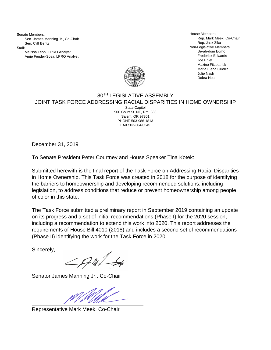Senate Members: Sen. James Manning Jr., Co-Chair Sen. Cliff Bentz Staff:

Melissa Leoni, LPRO Analyst Amie Fender-Sosa, LPRO Analyst

House Members: Rep. Mark Meek, Co-Chair Rep. Jack Zika Non-Legislative Members: Se-ah-dom Edmo Frederick Edwards Joe Enlet Maxine Fitzpatrick Maria Elena Guerra Julie Nash Debra Neal



#### 80TH LEGISLATIVE ASSEMBLY JOINT TASK FORCE ADDRESSING RACIAL DISPARITIES IN HOME OWNERSHIP State Capitol

900 Court St. NE, Rm. 333 Salem, OR 97301 PHONE 503-986-1813 FAX 503-364-0545

December 31, 2019

To Senate President Peter Courtney and House Speaker Tina Kotek:

Submitted herewith is the final report of the Task Force on Addressing Racial Disparities in Home Ownership. This Task Force was created in 2018 for the purpose of identifying the barriers to homeownership and developing recommended solutions, including legislation, to address conditions that reduce or prevent homeownership among people of color in this state.

The Task Force submitted a preliminary report in September 2019 containing an update on its progress and a set of initial recommendations (Phase I) for the 2020 session, including a recommendation to extend this work into 2020. This report addresses the requirements of House Bill 4010 (2018) and includes a second set of recommendations (Phase II) identifying the work for the Task Force in 2020.

Sincerely,

Senator James Manning Jr., Co-Chair

Representative Mark Meek, Co-Chair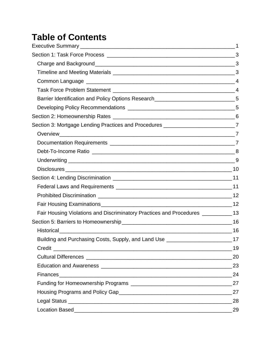# **Table of Contents**

| Barrier Identification and Policy Options Research____________________________5     |    |
|-------------------------------------------------------------------------------------|----|
|                                                                                     |    |
|                                                                                     |    |
| Section 3: Mortgage Lending Practices and Procedures ____________________________7  |    |
|                                                                                     |    |
|                                                                                     |    |
|                                                                                     |    |
|                                                                                     |    |
|                                                                                     |    |
|                                                                                     |    |
|                                                                                     |    |
|                                                                                     |    |
|                                                                                     |    |
| Fair Housing Violations and Discriminatory Practices and Procedures ____________ 13 |    |
|                                                                                     |    |
| Historical 16                                                                       |    |
| Building and Purchasing Costs, Supply, and Land Use _____________________________17 |    |
| Credit                                                                              |    |
|                                                                                     | 20 |
|                                                                                     |    |
|                                                                                     |    |
|                                                                                     |    |
|                                                                                     |    |
|                                                                                     |    |
|                                                                                     |    |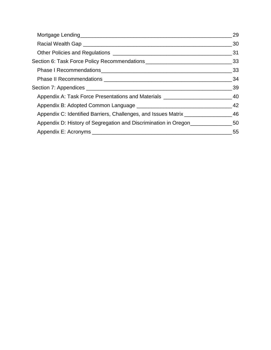|                                                                                      | 29 |
|--------------------------------------------------------------------------------------|----|
|                                                                                      |    |
|                                                                                      |    |
|                                                                                      |    |
|                                                                                      |    |
|                                                                                      |    |
|                                                                                      |    |
| Appendix A: Task Force Presentations and Materials ______________________________40  |    |
|                                                                                      | 42 |
| Appendix C: Identified Barriers, Challenges, and Issues Matrix __________________ 46 |    |
| Appendix D: History of Segregation and Discrimination in Oregon                      |    |
|                                                                                      | 55 |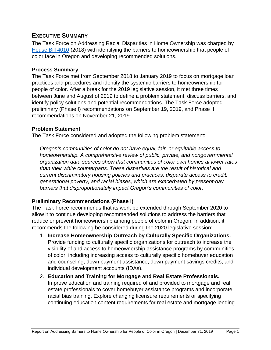# <span id="page-5-0"></span>**EXECUTIVE SUMMARY**

The Task Force on Addressing Racial Disparities in Home Ownership was charged by [House Bill 4010](https://olis.leg.state.or.us/liz/2018R1/Measures/Overview/HB4010) (2018) with identifying the barriers to homeownership that people of color face in Oregon and developing recommended solutions.

#### **Process Summary**

The Task Force met from September 2018 to January 2019 to focus on mortgage loan practices and procedures and identify the systemic barriers to homeownership for people of color. After a break for the 2019 legislative session, it met three times between June and August of 2019 to define a problem statement, discuss barriers, and identify policy solutions and potential recommendations. The Task Force adopted preliminary (Phase I) recommendations on September 19, 2019, and Phase II recommendations on November 21, 2019.

#### **Problem Statement**

The Task Force considered and adopted the following problem statement:

*Oregon's communities of color do not have equal, fair, or equitable access to homeownership. A comprehensive review of public, private, and nongovernmental organization data sources show that communities of color own homes at lower rates than their white counterparts. These disparities are the result of historical and current discriminatory housing policies and practices, disparate access to credit, generational poverty, and racial biases, which are exacerbated by present-day barriers that disproportionately impact Oregon's communities of color.*

#### **Preliminary Recommendations (Phase I)**

The Task Force recommends that its work be extended through September 2020 to allow it to continue developing recommended solutions to address the barriers that reduce or prevent homeownership among people of color in Oregon. In addition, it recommends the following be considered during the 2020 legislative session:

- 1. **Increase Homeownership Outreach by Culturally Specific Organizations.** Provide funding to culturally specific organizations for outreach to increase the visibility of and access to homeownership assistance programs by communities of color, including increasing access to culturally specific homebuyer education and counseling, down payment assistance, down payment savings credits, and individual development accounts (IDAs).
- 2. **Education and Training for Mortgage and Real Estate Professionals.**  Improve education and training required of and provided to mortgage and real estate professionals to cover homebuyer assistance programs and incorporate racial bias training. Explore changing licensure requirements or specifying continuing education content requirements for real estate and mortgage lending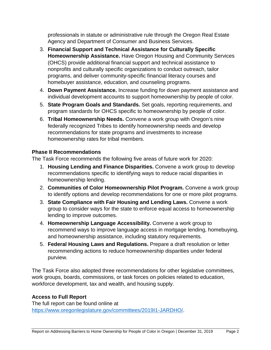professionals in statute or administrative rule through the Oregon Real Estate Agency and Department of Consumer and Business Services.

- 3. **Financial Support and Technical Assistance for Culturally Specific Homeownership Assistance.** Have Oregon Housing and Community Services (OHCS) provide additional financial support and technical assistance to nonprofits and culturally specific organizations to conduct outreach, tailor programs, and deliver community-specific financial literacy courses and homebuyer assistance, education, and counseling programs.
- 4. **Down Payment Assistance.** Increase funding for down payment assistance and individual development accounts to support homeownership by people of color.
- 5. **State Program Goals and Standards.** Set goals, reporting requirements, and program standards for OHCS specific to homeownership by people of color.
- 6. **Tribal Homeownership Needs.** Convene a work group with Oregon's nine federally recognized Tribes to identify homeownership needs and develop recommendations for state programs and investments to increase homeownership rates for tribal members.

#### **Phase II Recommendations**

The Task Force recommends the following five areas of future work for 2020:

- 1. **Housing Lending and Finance Disparities.** Convene a work group to develop recommendations specific to identifying ways to reduce racial disparities in homeownership lending.
- 2. **Communities of Color Homeownership Pilot Program.** Convene a work group to identify options and develop recommendations for one or more pilot programs.
- 3. **State Compliance with Fair Housing and Lending Laws.** Convene a work group to consider ways for the state to enforce equal access to homeownership lending to improve outcomes.
- 4. **Homeownership Language Accessibility.** Convene a work group to recommend ways to improve language access in mortgage lending, homebuying, and homeownership assistance, including statutory requirements.
- 5. **Federal Housing Laws and Regulations.** Prepare a draft resolution or letter recommending actions to reduce homeownership disparities under federal purview.

The Task Force also adopted three recommendations for other legislative committees, work groups, boards, commissions, or task forces on policies related to education, workforce development, tax and wealth, and housing supply.

# **Access to Full Report**

The full report can be found online at [https://www.oregonlegislature.gov/committees/2019I1-JARDHO/.](https://www.oregonlegislature.gov/committees/2019I1-JARDHO/)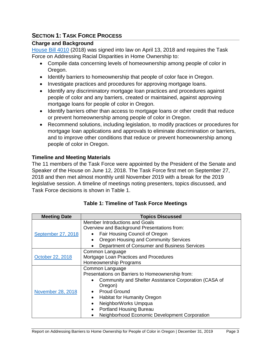# <span id="page-7-0"></span>**SECTION 1: TASK FORCE PROCESS**

#### <span id="page-7-1"></span>**Charge and Background**

[House Bill 4010](https://olis.leg.state.or.us/liz/2018R1/Measures/Overview/HB4010) (2018) was signed into law on April 13, 2018 and requires the Task Force on Addressing Racial Disparities in Home Ownership to:

- Compile data concerning levels of homeownership among people of color in Oregon.
- Identify barriers to homeownership that people of color face in Oregon.
- Investigate practices and procedures for approving mortgage loans.
- Identify any discriminatory mortgage loan practices and procedures against people of color and any barriers, created or maintained, against approving mortgage loans for people of color in Oregon.
- Identify barriers other than access to mortgage loans or other credit that reduce or prevent homeownership among people of color in Oregon.
- Recommend solutions, including legislation, to modify practices or procedures for mortgage loan applications and approvals to eliminate discrimination or barriers, and to improve other conditions that reduce or prevent homeownership among people of color in Oregon.

# <span id="page-7-2"></span>**Timeline and Meeting Materials**

The 11 members of the Task Force were appointed by the President of the Senate and Speaker of the House on June 12, 2018. The Task Force first met on September 27, 2018 and then met almost monthly until November 2019 with a break for the 2019 legislative session. A timeline of meetings noting presenters, topics discussed, and Task Force decisions is shown in Table 1.

| <b>Meeting Date</b> | <b>Topics Discussed</b>                                                       |  |  |
|---------------------|-------------------------------------------------------------------------------|--|--|
|                     | Member Introductions and Goals<br>Overview and Background Presentations from: |  |  |
| September 27, 2018  | Fair Housing Council of Oregon                                                |  |  |
|                     | Oregon Housing and Community Services<br>$\bullet$                            |  |  |
|                     | Department of Consumer and Business Services                                  |  |  |
| October 22, 2018    | Common Language<br>Mortgage Loan Practices and Procedures                     |  |  |
|                     | Homeownership Programs                                                        |  |  |
|                     | Common Language                                                               |  |  |
|                     | Presentations on Barriers to Homeownership from:                              |  |  |
|                     | Community and Shelter Assistance Corporation (CASA of<br>$\bullet$            |  |  |
|                     | Oregon)                                                                       |  |  |
| November 28, 2018   | <b>Proud Ground</b>                                                           |  |  |
|                     | <b>Habitat for Humanity Oregon</b><br>$\bullet$                               |  |  |
|                     | NeighborWorks Umpqua<br>$\bullet$                                             |  |  |
|                     | <b>Portland Housing Bureau</b><br>$\bullet$                                   |  |  |
|                     | Neighborhood Economic Development Corporation                                 |  |  |

# **Table 1: Timeline of Task Force Meetings**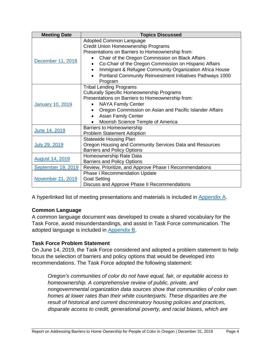| <b>Meeting Date</b>     | <b>Topics Discussed</b>                                                                                                                                                                                                                                                                                                                                                                                  |  |  |
|-------------------------|----------------------------------------------------------------------------------------------------------------------------------------------------------------------------------------------------------------------------------------------------------------------------------------------------------------------------------------------------------------------------------------------------------|--|--|
| December 11, 2018       | Adopted Common Language<br>Credit Union Homeownership Programs<br>Presentations on Barriers to Homeownership from:<br>Chair of the Oregon Commission on Black Affairs<br>Co-Chair of the Oregon Commission on Hispanic Affairs<br>$\bullet$<br>Immigrant & Refugee Community Organization Africa House<br>$\bullet$<br>Portland Community Reinvestment Initiatives Pathways 1000<br>$\bullet$<br>Program |  |  |
| <b>January 10, 2019</b> | <b>Tribal Lending Programs</b><br><b>Culturally Specific Homeownership Programs</b><br>Presentations on Barriers to Homeownership from:<br><b>NAYA Family Center</b><br>Oregon Commission on Asian and Pacific Islander Affairs<br>$\bullet$<br><b>Asian Family Center</b><br>$\bullet$<br>Moorish Science Temple of America                                                                             |  |  |
| June 14, 2019           | <b>Barriers to Homeownership</b><br><b>Problem Statement Adoption</b>                                                                                                                                                                                                                                                                                                                                    |  |  |
| July 29, 2019           | <b>Statewide Housing Plan</b><br>Oregon Housing and Community Services Data and Resources<br><b>Barriers and Policy Options</b>                                                                                                                                                                                                                                                                          |  |  |
| <b>August 14, 2019</b>  | Homeownership Rate Data<br><b>Barriers and Policy Options</b>                                                                                                                                                                                                                                                                                                                                            |  |  |
| September 19, 2019      | Review, Prioritize, and Approve Phase I Recommendations                                                                                                                                                                                                                                                                                                                                                  |  |  |
| November 21, 2019       | <b>Phase I Recommendation Update</b><br><b>Goal Setting</b><br>Discuss and Approve Phase II Recommendations                                                                                                                                                                                                                                                                                              |  |  |

A hyperlinked list of meeting presentations and materials is included in [Appendix A.](#page-44-0)

# <span id="page-8-0"></span>**Common Language**

A common language document was developed to create a shared vocabulary for the Task Force, avoid misunderstandings, and assist in Task Force communication. The adopted language is included in [Appendix B.](#page-46-0)

# <span id="page-8-1"></span>**Task Force Problem Statement**

On June 14, 2019, the Task Force considered and adopted a problem statement to help focus the selection of barriers and policy options that would be developed into recommendations. The Task Force adopted the following statement:

*Oregon's communities of color do not have equal, fair, or equitable access to homeownership. A comprehensive review of public, private, and nongovernmental organization data sources show that communities of color own homes at lower rates than their white counterparts. These disparities are the result of historical and current discriminatory housing policies and practices, disparate access to credit, generational poverty, and racial biases, which are*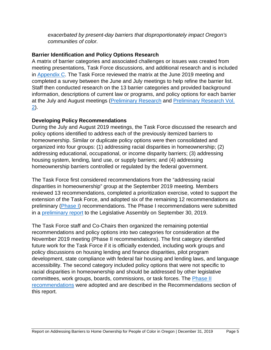*exacerbated by present-day barriers that disproportionately impact Oregon's communities of color.*

#### <span id="page-9-0"></span>**Barrier Identification and Policy Options Research**

A matrix of barrier categories and associated challenges or issues was created from meeting presentations, Task Force discussions, and additional research and is included in [Appendix C.](#page-50-0) The Task Force reviewed the matrix at the June 2019 meeting and completed a survey between the June and July meetings to help refine the barrier list. Staff then conducted research on the 13 barrier categories and provided background information, descriptions of current law or programs, and policy options for each barrier at the July and August meetings [\(Preliminary Research](https://olis.leg.state.or.us/liz/2019I1/Downloads/CommitteeMeetingDocument/206089) and [Preliminary Research Vol.](https://olis.leg.state.or.us/liz/2019I1/Downloads/CommitteeMeetingDocument/206243)  [2\)](https://olis.leg.state.or.us/liz/2019I1/Downloads/CommitteeMeetingDocument/206243).

#### <span id="page-9-1"></span>**Developing Policy Recommendations**

During the July and August 2019 meetings, the Task Force discussed the research and policy options identified to address each of the previously itemized barriers to homeownership. Similar or duplicate policy options were then consolidated and organized into four groups: (1) addressing racial disparities in homeownership; (2) addressing educational, occupational, or income disparity barriers; (3) addressing housing system, lending, land use, or supply barriers; and (4) addressing homeownership barriers controlled or regulated by the federal government.

The Task Force first considered recommendations from the "addressing racial disparities in homeownership" group at the September 2019 meeting. Members reviewed 13 recommendations, completed a prioritization exercise, voted to support the extension of the Task Force, and adopted six of the remaining 12 recommendations as preliminary [\(Phase I\)](#page-37-1) recommendations. The Phase I recommendations were submitted in a [preliminary report](https://olis.leg.state.or.us/liz/2019I1/Downloads/CommitteeMeetingDocument/207954) to the Legislative Assembly on September 30, 2019.

The Task Force staff and Co-Chairs then organized the remaining potential recommendations and policy options into two categories for consideration at the November 2019 meeting (Phase II recommendations). The first category identified future work for the Task Force if it is officially extended, including work groups and policy discussions on housing lending and finance disparities, pilot program development, state compliance with federal fair housing and lending laws, and language accessibility. The second category included policy options that were not specific to racial disparities in homeownership and should be addressed by other legislative committees, work groups, boards, commissions, or task forces. The [Phase II](#page-38-0) [recommendations](#page-38-0) were adopted and are described in the Recommendations section of this report.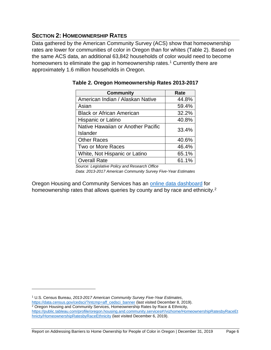# <span id="page-10-0"></span>**SECTION 2: HOMEOWNERSHIP RATES**

Data gathered by the American Community Survey (ACS) show that homeownership rates are lower for communities of color in Oregon than for whites (Table 2). Based on the same ACS data, an additional 63,842 households of color would need to become homeowners to eliminate the gap in homeownership rates.<sup>1</sup> Currently there are approximately 1.6 million households in Oregon.

| <b>Community</b>                   | Rate  |
|------------------------------------|-------|
| American Indian / Alaskan Native   | 44.8% |
| Asian                              | 59.4% |
| <b>Black or African American</b>   | 32.2% |
| Hispanic or Latino                 | 40.8% |
| Native Hawaiian or Another Pacific | 33.4% |
| Islander                           |       |
| <b>Other Races</b>                 | 40.6% |
| Two or More Races                  | 46.4% |
| White, Not Hispanic or Latino      | 65.1% |
| <b>Overall Rate</b>                | 61.1% |

**Table 2. Oregon Homeownership Rates 2013-2017**

*Source: Legislative Policy and Research Office Data: 2013-2017 American Community Survey Five-Year Estimates*

Oregon Housing and Community Services has an [online data dashboard](https://public.tableau.com/profile/oregon.housing.and.community.services#!/vizhome/HomeownershipRatesbyRaceEthnicty/HomeownershipRatesbyRaceEthnicity) for homeownership rates that allows queries by county and by race and ethnicity.<sup>[2](#page-10-2)</sup>

<span id="page-10-1"></span><sup>1</sup> U.S. Census Bureau, *2013-2017 American Community Survey Five-Year Estimates*,

 $\overline{a}$ 

[https://data.census.gov/cedsci/?intcmp=aff\\_cedsci\\_banner](https://data.census.gov/cedsci/?intcmp=aff_cedsci_banner) (last visited December 8, 2019).

<span id="page-10-2"></span><sup>2</sup> Oregon Housing and Community Services, Homeownership Rates by Race & Ethnicity, [https://public.tableau.com/profile/oregon.housing.and.community.services#!/vizhome/HomeownershipRatesbyRaceEt](https://public.tableau.com/profile/oregon.housing.and.community.services#!/vizhome/HomeownershipRatesbyRaceEthnicty/HomeownershipRatesbyRaceEthnicity) [hnicty/HomeownershipRatesbyRaceEthnicity](https://public.tableau.com/profile/oregon.housing.and.community.services#!/vizhome/HomeownershipRatesbyRaceEthnicty/HomeownershipRatesbyRaceEthnicity) (last visited December 6, 2019).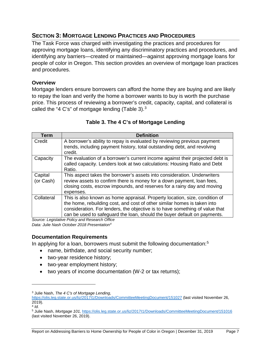# <span id="page-11-0"></span>**SECTION 3: MORTGAGE LENDING PRACTICES AND PROCEDURES**

The Task Force was charged with investigating the practices and procedures for approving mortgage loans, identifying any discriminatory practices and procedures, and identifying any barriers—created or maintained—against approving mortgage loans for people of color in Oregon. This section provides an overview of mortgage loan practices and procedures.

#### <span id="page-11-1"></span>**Overview**

Mortgage lenders ensure borrowers can afford the home they are buying and are likely to repay the loan and verify the home a borrower wants to buy is worth the purchase price. This process of reviewing a borrower's credit, capacity, capital, and collateral is called the "4 C's" of mortgage lending (Table [3](#page-11-3)).<sup>3</sup>

| <b>Term</b>          | <b>Definition</b>                                                                                                                                                                                                                                                                                                                                                                                              |
|----------------------|----------------------------------------------------------------------------------------------------------------------------------------------------------------------------------------------------------------------------------------------------------------------------------------------------------------------------------------------------------------------------------------------------------------|
| Credit               | A borrower's ability to repay is evaluated by reviewing previous payment<br>trends, including payment history, total outstanding debt, and revolving<br>credit.                                                                                                                                                                                                                                                |
| Capacity             | The evaluation of a borrower's current income against their projected debt is<br>called capacity. Lenders look at two calculations: Housing Ratio and Debt<br>Ratio.                                                                                                                                                                                                                                           |
| Capital<br>(or Cash) | This aspect takes the borrower's assets into consideration. Underwriters<br>review assets to confirm there is money for a down payment, loan fees,<br>closing costs, escrow impounds, and reserves for a rainy day and moving<br>expenses.                                                                                                                                                                     |
| Collateral           | This is also known as home appraisal. Property location, size, condition of<br>the home, rebuilding cost, and cost of other similar homes is taken into<br>consideration. For lenders, the objective is to have something of value that<br>can be used to safeguard the loan, should the buyer default on payments.<br>$Q_1, \ldots, Q_n$ and $Q_2, \ldots, Q_n$ and $Q_3, \ldots, Q_n$ and $Q_4, \ldots, Q_n$ |

#### **Table 3. The 4 C's of Mortgage Lending**

*Source: Legislative Policy and Research Office Data: Julie Nash October 2018 Presentation[4](#page-11-4)*

#### <span id="page-11-2"></span>**Documentation Requirements**

In applying for a loan, borrowers must submit the following documentation:<sup>[5](#page-11-5)</sup>

- name, birthdate, and social security number;
- two-year residence history;
- two-year employment history;
- two years of income documentation (W-2 or tax returns);

<span id="page-11-3"></span><sup>3</sup> Julie Nash, *The 4 C's of Mortgage Lending*,

<https://olis.leg.state.or.us/liz/2017I1/Downloads/CommitteeMeetingDocument/151027> (last visited November 26, 2019).

<span id="page-11-4"></span> $4$  *Id.* 

<span id="page-11-5"></span><sup>5</sup> Julie Nash, *Mortgage 101,* <https://olis.leg.state.or.us/liz/2017I1/Downloads/CommitteeMeetingDocument/151016> (last visited November 26, 2019).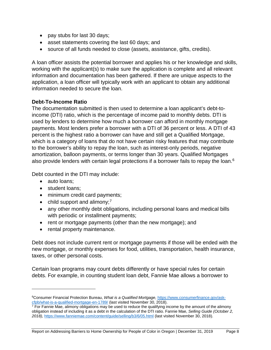- pay stubs for last 30 days;
- asset statements covering the last 60 days; and
- source of all funds needed to close (assets, assistance, gifts, credits).

A loan officer assists the potential borrower and applies his or her knowledge and skills, working with the applicant(s) to make sure the application is complete and all relevant information and documentation has been gathered. If there are unique aspects to the application, a loan officer will typically work with an applicant to obtain any additional information needed to secure the loan.

#### <span id="page-12-0"></span>**Debt-To-Income Ratio**

The documentation submitted is then used to determine a loan applicant's debt-toincome (DTI) ratio, which is the percentage of income paid to monthly debts. DTI is used by lenders to determine how much a borrower can afford in monthly mortgage payments. Most lenders prefer a borrower with a DTI of 36 percent or less. A DTI of 43 percent is the highest ratio a borrower can have and still get a Qualified Mortgage, which is a category of loans that do not have certain risky features that may contribute to the borrower's ability to repay the loan, such as interest-only periods, negative amortization, balloon payments, or terms longer than 30 years. Qualified Mortgages also provide lenders with certain legal protections if a borrower fails to repay the loan. $^6$  $^6$ 

Debt counted in the DTI may include:

• auto loans;

 $\overline{a}$ 

- student loans:
- minimum credit card payments;
- $\bullet$  child support and alimony;<sup>[7](#page-12-2)</sup>
- any other monthly debt obligations, including personal loans and medical bills with periodic or installment payments;
- rent or mortgage payments (other than the new mortgage); and
- rental property maintenance.

Debt does not include current rent or mortgage payments if those will be ended with the new mortgage, or monthly expenses for food, utilities, transportation, health insurance, taxes, or other personal costs.

Certain loan programs may count debts differently or have special rules for certain debts. For example, in counting student loan debt, Fannie Mae allows a borrower to

<span id="page-12-1"></span><sup>6</sup>Consumer Financial Protection Bureau, *What is a Qualified Mortgage,* [https://www.consumerfinance.gov/ask](https://www.consumerfinance.gov/ask-cfpb/what-is-a-qualified-mortgage-en-1789/)[cfpb/what-is-a-qualified-mortgage-en-1789/](https://www.consumerfinance.gov/ask-cfpb/what-is-a-qualified-mortgage-en-1789/) (last visited November 30, 2018).

<span id="page-12-2"></span> $<sup>7</sup>$  For Fannie Mae, alimony obligations may be used to reduce the qualifying income by the amount of the alimony</sup> obligation instead of including it as a debt in the calculation of the DTI ratio. Fannie Mae, *Selling Guide (October 2, 2018),* <https://www.fanniemae.com/content/guide/selling/b3/6/05.html> (last visited November 30, 2018).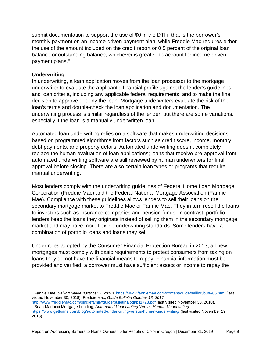submit documentation to support the use of \$0 in the DTI if that is the borrower's monthly payment on an income-driven payment plan, while Freddie Mac requires either the use of the amount included on the credit report or 0.5 percent of the original loan balance or outstanding balance, whichever is greater, to account for income-driven payment plans.<sup>[8](#page-13-1)</sup>

#### <span id="page-13-0"></span>**Underwriting**

 $\overline{a}$ 

In underwriting, a loan application moves from the loan processor to the mortgage underwriter to evaluate the applicant's financial profile against the lender's guidelines and loan criteria, including any applicable federal requirements, and to make the final decision to approve or deny the loan. Mortgage underwriters evaluate the risk of the loan's terms and double-check the loan application and documentation. The underwriting process is similar regardless of the lender, but there are some variations, especially if the loan is a manually underwritten loan.

Automated loan underwriting relies on a software that makes underwriting decisions based on programmed algorithms from factors such as credit score, income, monthly debt payments, and property details. Automated underwriting doesn't completely replace the human evaluation of loan applications; loans that receive pre-approval from automated underwriting software are still reviewed by human underwriters for final approval before closing. There are also certain loan types or programs that require manual underwriting. [9](#page-13-2)

Most lenders comply with the underwriting guidelines of Federal Home Loan Mortgage Corporation (Freddie Mac) and the Federal National Mortgage Association (Fannie Mae). Compliance with these guidelines allows lenders to sell their loans on the secondary mortgage market to Freddie Mac or Fannie Mae. They in turn resell the loans to investors such as insurance companies and pension funds. In contrast, portfolio lenders keep the loans they originate instead of selling them in the secondary mortgage market and may have more flexible underwriting standards. Some lenders have a combination of portfolio loans and loans they sell.

Under rules adopted by the Consumer Financial Protection Bureau in 2013, all new mortgages must comply with basic requirements to protect consumers from taking on loans they do not have the financial means to repay. Financial information must be provided and verified, a borrower must have sufficient assets or income to repay the

<span id="page-13-1"></span><sup>8</sup> Fannie Mae, *Selling Guide (October 2, 2018),* <https://www.fanniemae.com/content/guide/selling/b3/6/05.html> (last visited November 30, 2018). Freddie Mac, *Guide Bulletin October 18, 2017,*  <http://www.freddiemac.com/singlefamily/guide/bulletins/pdf/bll1723.pdf> (last visited November 30, 2018).

<span id="page-13-2"></span><sup>9</sup> Brian Martucci Mortgage Lending, *Automated Underwriting Versus Human Underwriting,* <https://www.getloans.com/blog/automated-underwriting-versus-human-underwriting/> (last visited November 19, 2018).

Report on Addressing Barriers to Home Ownership for People of Color in Oregon | December 31, 2019 Page 9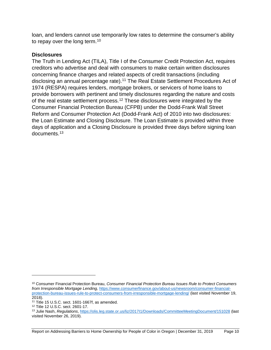loan, and lenders cannot use temporarily low rates to determine the consumer's ability to repay over the long term.<sup>[10](#page-14-1)</sup>

#### <span id="page-14-0"></span>**Disclosures**

<span id="page-14-5"></span>The Truth in Lending Act (TILA), Title I of the Consumer Credit Protection Act, requires creditors who advertise and deal with consumers to make certain written disclosures concerning finance charges and related aspects of credit transactions (including disclosing an annual percentage rate).[11](#page-14-2) The Real Estate Settlement Procedures Act of 1974 (RESPA) requires lenders, mortgage brokers, or servicers of home loans to provide borrowers with pertinent and timely disclosures regarding the nature and costs of the real estate settlement process.[12](#page-14-3) These disclosures were integrated by the Consumer Financial Protection Bureau (CFPB) under the Dodd-Frank Wall Street Reform and Consumer Protection Act (Dodd-Frank Act) of 2010 into two disclosures: the Loan Estimate and Closing Disclosure. The Loan Estimate is provided within three days of application and a Closing Disclosure is provided three days before signing loan documents.[13](#page-14-4)

<span id="page-14-1"></span><sup>10</sup> Consumer Financial Protection Bureau, *Consumer Financial Protection Bureau Issues Rule to Protect Consumers from Irresponsible Mortgage Lending,* [https://www.consumerfinance.gov/about-us/newsroom/consumer-financial](https://www.consumerfinance.gov/about-us/newsroom/consumer-financial-protection-bureau-issues-rule-to-protect-consumers-from-irresponsible-mortgage-lending/)[protection-bureau-issues-rule-to-protect-consumers-from-irresponsible-mortgage-lending/](https://www.consumerfinance.gov/about-us/newsroom/consumer-financial-protection-bureau-issues-rule-to-protect-consumers-from-irresponsible-mortgage-lending/) (last visited November 19, 2018).

<span id="page-14-2"></span><sup>11</sup> Title 15 U.S.C. sect. 1601-1667f, as amended.

<span id="page-14-3"></span><sup>12</sup> Title 12 U.S.C. sect. 2601-17.

<span id="page-14-4"></span><sup>13</sup> Julie Nash, *Regulations*[, https://olis.leg.state.or.us/liz/2017I1/Downloads/CommitteeMeetingDocument/151028](https://olis.leg.state.or.us/liz/2017I1/Downloads/CommitteeMeetingDocument/151028) (last visited November 26, 2019).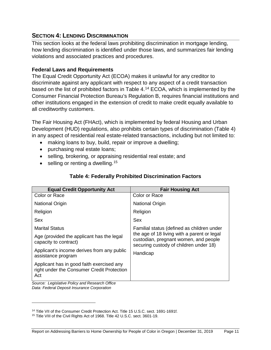# <span id="page-15-0"></span>**SECTION 4: LENDING DISCRIMINATION**

This section looks at the federal laws prohibiting discrimination in mortgage lending, how lending discrimination is identified under those laws, and summarizes fair lending violations and associated practices and procedures.

#### <span id="page-15-1"></span>**Federal Laws and Requirements**

The Equal Credit Opportunity Act (ECOA) makes it unlawful for any creditor to discriminate against any applicant with respect to any aspect of a credit transaction based on the list of prohibited factors in Table 4. [14](#page-15-2) ECOA, which is implemented by the Consumer Financial Protection Bureau's Regulation B, requires financial institutions and other institutions engaged in the extension of credit to make credit equally available to all creditworthy customers.

The Fair Housing Act (FHAct), which is implemented by federal Housing and Urban Development (HUD) regulations, also prohibits certain types of discrimination (Table 4) in any aspect of residential real estate-related transactions, including but not limited to:

- making loans to buy, build, repair or improve a dwelling;
- purchasing real estate loans;
- selling, brokering, or appraising residential real estate; and
- selling or renting a dwelling.  $15$

#### **Table 4: Federally Prohibited Discrimination Factors**

| <b>Equal Credit Opportunity Act</b>                                                            | <b>Fair Housing Act</b>                                                                                                        |
|------------------------------------------------------------------------------------------------|--------------------------------------------------------------------------------------------------------------------------------|
| Color or Race                                                                                  | Color or Race                                                                                                                  |
| <b>National Origin</b>                                                                         | <b>National Origin</b>                                                                                                         |
| Religion                                                                                       | Religion                                                                                                                       |
| Sex                                                                                            | Sex                                                                                                                            |
| <b>Marital Status</b>                                                                          | Familial status (defined as children under                                                                                     |
| Age (provided the applicant has the legal<br>capacity to contract)                             | the age of 18 living with a parent or legal<br>custodian, pregnant women, and people<br>securing custody of children under 18) |
| Applicant's income derives from any public<br>assistance program                               | Handicap                                                                                                                       |
| Applicant has in good faith exercised any<br>right under the Consumer Credit Protection<br>Act |                                                                                                                                |
| Course: Logislative Deliay and Pennemb Office                                                  |                                                                                                                                |

*Source: Legislative Policy and Research Office Data: Federal Deposit Insurance Corporation*

<span id="page-15-3"></span><span id="page-15-2"></span><sup>&</sup>lt;sup>14</sup> Title VII of the Consumer Credit Protection Act. Title 15 U.S.C. sect. 1691-1691f.<br><sup>15</sup> Title VIII of the Civil Rights Act of 1968. Title 42 U.S.C. sect. 3601-19.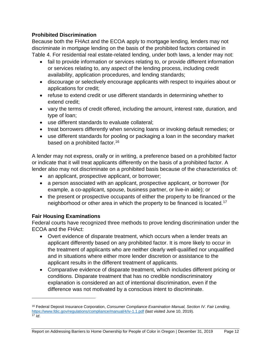#### <span id="page-16-0"></span>**Prohibited Discrimination**

Because both the FHAct and the ECOA apply to mortgage lending, lenders may not discriminate in mortgage lending on the basis of the prohibited factors contained in Table 4. For residential real estate-related lending, under both laws, a lender may not:

- fail to provide information or services relating to, or provide different information or services relating to, any aspect of the lending process, including credit availability, application procedures, and lending standards;
- discourage or selectively encourage applicants with respect to inquiries about or applications for credit;
- refuse to extend credit or use different standards in determining whether to extend credit;
- vary the terms of credit offered, including the amount, interest rate, duration, and type of loan;
- use different standards to evaluate collateral;
- treat borrowers differently when servicing loans or invoking default remedies; or
- use different standards for pooling or packaging a loan in the secondary market based on a prohibited factor.<sup>[16](#page-16-2)</sup>

A lender may not express, orally or in writing, a preference based on a prohibited factor or indicate that it will treat applicants differently on the basis of a prohibited factor. A lender also may not discriminate on a prohibited basis because of the characteristics of:

- an applicant, prospective applicant, or borrower;
- a person associated with an applicant, prospective applicant, or borrower (for example, a co-applicant, spouse, business partner, or live-in aide); or
- the present or prospective occupants of either the property to be financed or the neighborhood or other area in which the property to be financed is located.[17](#page-16-3)

# <span id="page-16-1"></span>**Fair Housing Examinations**

 $\overline{a}$ 

Federal courts have recognized three methods to prove lending discrimination under the ECOA and the FHAct:

- Overt evidence of disparate treatment, which occurs when a lender treats an applicant differently based on any prohibited factor. It is more likely to occur in the treatment of applicants who are neither clearly well-qualified nor unqualified and in situations where either more lender discretion or assistance to the applicant results in the different treatment of applicants.
- Comparative evidence of disparate treatment, which includes different pricing or conditions. Disparate treatment that has no credible nondiscriminatory explanation is considered an act of intentional discrimination, even if the difference was not motivated by a conscious intent to discriminate.

<span id="page-16-3"></span><span id="page-16-2"></span><sup>16</sup> Federal Deposit Insurance Corporation, *Consumer Compliance Examination Manual, Section IV. Fair Lending*, <https://www.fdic.gov/regulations/compliance/manual/4/iv-1.1.pdf> (last visited June 10, 2019). <sup>17</sup> *Id*.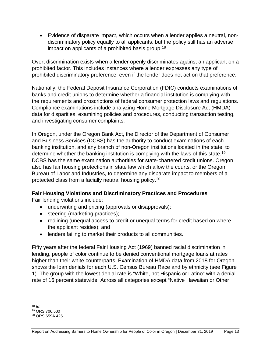• Evidence of disparate impact, which occurs when a lender applies a neutral, nondiscriminatory policy equally to all applicants, but the policy still has an adverse impact on applicants of a prohibited basis group.<sup>[18](#page-17-1)</sup>

Overt discrimination exists when a lender openly discriminates against an applicant on a prohibited factor. This includes instances where a lender expresses any type of prohibited discriminatory preference, even if the lender does not act on that preference.

Nationally, the Federal Deposit Insurance Corporation (FDIC) conducts examinations of banks and credit unions to determine whether a financial institution is complying with the requirements and proscriptions of federal consumer protection laws and regulations. Compliance examinations include analyzing Home Mortgage Disclosure Act (HMDA) data for disparities, examining policies and procedures, conducting transaction testing, and investigating consumer complaints.

In Oregon, under the Oregon Bank Act, the Director of the Department of Consumer and Business Services (DCBS) has the authority to conduct examinations of each banking institution, and any branch of non-Oregon institutions located in the state, to determine whether the banking institution is complying with the laws of this state.<sup>[19](#page-17-2)</sup> DCBS has the same examination authorities for state-chartered credit unions. Oregon also has fair housing protections in state law which allow the courts, or the Oregon Bureau of Labor and Industries, to determine any disparate impact to members of a protected class from a facially neutral housing policy.[20](#page-17-3)

#### <span id="page-17-0"></span>**Fair Housing Violations and Discriminatory Practices and Procedures**

Fair lending violations include:

- underwriting and pricing (approvals or disapprovals);
- steering (marketing practices);
- redlining (unequal access to credit or unequal terms for credit based on where the applicant resides); and
- lenders failing to market their products to all communities.

Fifty years after the federal Fair Housing Act (1969) banned racial discrimination in lending, people of color continue to be denied conventional mortgage loans at rates higher than their white counterparts. Examination of HMDA data from 2018 for Oregon shows the loan denials for each U.S. Census Bureau Race and by ethnicity (see Figure 1). The group with the lowest denial rate is "White, not Hispanic or Latino" with a denial rate of 16 percent statewide. Across all categories except "Native Hawaiian or Other

<span id="page-17-1"></span> $18$  *Id.* <sup>19</sup> ORS 706.500

<span id="page-17-3"></span><span id="page-17-2"></span><sup>20</sup> ORS 659A.425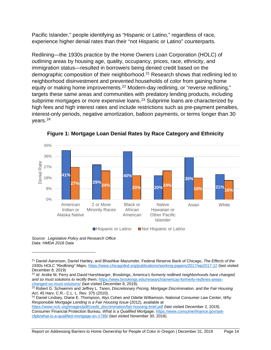Pacific Islander," people identifying as "Hispanic or Latino," regardless of race, experience higher denial rates than their "not Hispanic or Latino" counterparts.

Redlining—the 1930s practice by the Home Owners Loan Corporation (HOLC) of outlining areas by housing age, quality, occupancy, prices, race, ethnicity, and immigration status—resulted in borrowers being denied credit based on the demographic composition of their neighborhood.[21](#page-18-0) Research shows that redlining led to neighborhood disinvestment and prevented households of color from gaining home equity or making home improvements.<sup>[22](#page-18-1)</sup> Modern-day redlining, or "reverse redlining," targets these same areas and communities with predatory lending products, including subprime mortgages or more expensive loans.<sup>[23](#page-18-2)</sup> Subprime loans are characterized by high fees and high interest rates and include restrictions such as pre-payment penalties, interest-only periods, negative amortization, balloon payments, or terms longer than 30 years.[24](#page-18-3)



**Figure 1: Mortgage Loan Denial Rates by Race Category and Ethnicity**

*Source: Legislative Policy and Research Office Data: HMDA 2018 Data*

 $\overline{a}$ 

<span id="page-18-1"></span><sup>22</sup> *Id*. Andre M. Perry and David Harshbarger, Brookings, *America's formerly redlined neighborhoods have changed, and so must solutions to rectify them*, [https://www.brookings.edu/research/americas-formerly-redlines-areas](https://www.brookings.edu/research/americas-formerly-redlines-areas-changed-so-must-solutions/)[changed-so-must-solutions/](https://www.brookings.edu/research/americas-formerly-redlines-areas-changed-so-must-solutions/) (last visited December 8, 2019).

<span id="page-18-3"></span><sup>24</sup> Daniel Lindsey, Diane E. Thompson, Alys Cohen and Odette Williamson, National Consumer Law Center, *Why Responsible Mortgage Lending is a Fair Housing Issue* (2012), available at

[https://www.nclc.org/images/pdf/credit\\_discrimination/fair-housing-brief.pdf](https://www.nclc.org/images/pdf/credit_discrimination/fair-housing-brief.pdf) (last visited December 2, 2019). Consumer Financial Protection Bureau, *What is a Qualified Mortgage,* [https://www.consumerfinance.gov/ask](https://www.consumerfinance.gov/ask-cfpb/what-is-a-qualified-mortgage-en-1789/)[cfpb/what-is-a-qualified-mortgage-en-1789/](https://www.consumerfinance.gov/ask-cfpb/what-is-a-qualified-mortgage-en-1789/) (last visited November 30, 2018).

<span id="page-18-0"></span><sup>21</sup> Daniel Aaronson, Daniel Hartley, and Bhashkar Mazumder, Federal Reserve Bank of Chicago, *The Effects of the 1930s HOLC "Redlining" Maps*[, https://www.chicagofed.org/publications/working-papers/2017/wp2017-12](https://www.chicagofed.org/publications/working-papers/2017/wp2017-12) (last visited December 8, 2019)

<span id="page-18-2"></span><sup>23</sup> Robert G. Schwemm and Jeffrey L. Taren, *Discretionary Pricing, Mortgage Discrimination, and the Fair Housing Act*, 45 Harv. C.R.- C.L. L. Rev. 375 (2010).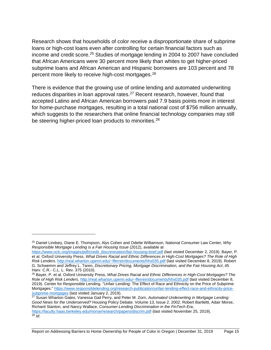Research shows that households of color receive a disproportionate share of subprime loans or high-cost loans even after controlling for certain financial factors such as income and credit score. [25](#page-19-0) Studies of mortgage lending in 2004 to 2007 have concluded that African Americans were 30 percent more likely than whites to get higher‐priced subprime loans and African American and Hispanic borrowers are 103 percent and 78 percent more likely to receive high-cost mortgages. [26](#page-19-1)

There is evidence that the growing use of online lending and automated underwriting reduces disparities in loan approval rates.<sup>[27](#page-19-2)</sup> Recent research, however, found that accepted Latino and African American borrowers paid 7.9 basis points more in interest for home-purchase mortgages, resulting in a total national cost of \$756 million annually, which suggests to the researchers that online financial technology companies may still be steering higher-priced loan products to minorities.<sup>[28](#page-19-3)</sup>

<span id="page-19-0"></span><sup>25</sup> Daniel Lindsey, Diane E. Thompson, Alys Cohen and Odette Williamson, National Consumer Law Center, *Why Responsible Mortgage Lending is a Fair Housing Issue* (2012), available at

[https://www.nclc.org/images/pdf/credit\\_discrimination/fair-housing-brief.pdf](https://www.nclc.org/images/pdf/credit_discrimination/fair-housing-brief.pdf) (last visited December 2, 2019). Bayer, P. et al. Oxford University Press, *What Drives Racial and Ethnic Differences in High-Cost Mortgages? The Role of High Risk Lenders.* [http://real.wharton.upenn.edu/~fferreir/documents/hhx035.pdf](http://real.wharton.upenn.edu/%7Efferreir/documents/hhx035.pdf) (last visited December 8, 2019). Robert G. Schwemm and Jeffrey L. Taren, *Discretionary Pricing, Mortgage Discrimination, and the Fair Housing Act*, 45

<span id="page-19-1"></span><sup>&</sup>lt;sup>26</sup> Bayer, P. et al. Oxford University Press, *What Drives Racial and Ethnic Differences in High-Cost Mortgages? The Role of High Risk Lenders,* [http://real.wharton.upenn.edu/~fferreir/documents/hhx035.pdf](http://real.wharton.upenn.edu/%7Efferreir/documents/hhx035.pdf) (last visited December 8, 2019). Center for Responsible Lending. "Unfair Lending: The Effect of Race and Ethnicity on the Price of Subprime Mortgages.[" https://www.responsiblelending.org/research-publication/unfair-lending-effect-race-and-ethnicity-price](https://www.responsiblelending.org/research-publication/unfair-lending-effect-race-and-ethnicity-price-subprime-mortgages)[subprime-mortgages](https://www.responsiblelending.org/research-publication/unfair-lending-effect-race-and-ethnicity-price-subprime-mortgages) (last visited January 2, 2019).

<span id="page-19-3"></span><span id="page-19-2"></span><sup>27</sup> Susan Wharton Gates, Vanessa Gail Perry, and Peter M. Zorn, *Automated Underwriting in Mortgage Lending: Good News for the Underserved?* Housing Policy Debate. Volume 13, Issue 2. 2002. Robert Bartlettt, Adair Morse, Richard Stanton, and Nancy Wallace, *Consumer-Lending Discrimination in the FinTech Era*, <https://faculty.haas.berkeley.edu/morse/research/papers/discrim.pdf> (last visited November 25, 2019). <sup>28</sup> *Id*.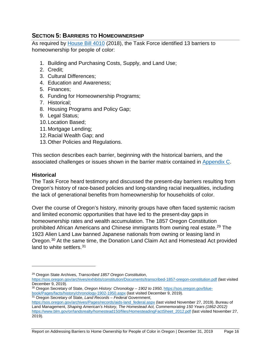# <span id="page-20-0"></span>**SECTION 5: BARRIERS TO HOMEOWNERSHIP**

As required by [House Bill 4010](https://olis.leg.state.or.us/liz/2018R1/Measures/Overview/HB4010) (2018), the Task Force identified 13 barriers to homeownership for people of color:

- 1. Building and Purchasing Costs, Supply, and Land Use;
- 2. Credit;
- 3. Cultural Differences;
- 4. Education and Awareness;
- 5. Finances;
- 6. Funding for Homeownership Programs;
- 7. Historical;
- 8. Housing Programs and Policy Gap;
- 9. Legal Status;
- 10.Location Based;
- 11.Mortgage Lending;
- 12.Racial Wealth Gap; and
- 13.Other Policies and Regulations.

This section describes each barrier, beginning with the historical barriers, and the associated challenges or issues shown in the barrier matrix contained in [Appendix C.](#page-50-0)

#### <span id="page-20-1"></span>**Historical**

 $\overline{a}$ 

The Task Force heard testimony and discussed the present-day barriers resulting from Oregon's history of race-based policies and long-standing racial inequalities, including the lack of generational benefits from homeownership for households of color.

Over the course of Oregon's history, minority groups have often faced systemic racism and limited economic opportunities that have led to the present-day gaps in homeownership rates and wealth accumulation. The 1857 Oregon Constitution prohibited African Americans and Chinese immigrants from owning real estate. [29](#page-20-2) The 1923 Alien Land Law banned Japanese nationals from owning or leasing land in Oregon.<sup>[30](#page-20-3)</sup> At the same time, the Donation Land Claim Act and Homestead Act provided land to white settlers.<sup>[31](#page-20-4)</sup>

<span id="page-20-3"></span><sup>30</sup> Oregon Secretary of State, *Oregon History: Chronology – 1902 to 1950*, [https://sos.oregon.gov/blue](https://sos.oregon.gov/blue-book/Pages/facts/history/chronology-1902-1950.aspx)[book/Pages/facts/history/chronology-1902-1950.aspx](https://sos.oregon.gov/blue-book/Pages/facts/history/chronology-1902-1950.aspx) (last visited December 9, 2019). <sup>31</sup> Oregon Secretary of State, *Land Records – Federal Government*,

Report on Addressing Barriers to Home Ownership for People of Color in Oregon | December 31, 2019 Page 16

<span id="page-20-2"></span><sup>29</sup> Oregon State Archives, *Transcribed 1857 Oregon Constitution*,

<https://sos.oregon.gov/archives/exhibits/constitution/Documents/transcribed-1857-oregon-constitution.pdf> (last visited December 9, 2019).

<span id="page-20-4"></span>[https://sos.oregon.gov/archives/Pages/records/aids-land\\_federal.aspx](https://sos.oregon.gov/archives/Pages/records/aids-land_federal.aspx) (last visited November 27, 2019). Bureau of Land Management, *Shaping American's History, The Homestead Act, Commemorating 150 Years (1862-2012)* [https://www.blm.gov/or/landsrealty/homestead150/files/HomesteadingFactSheet\\_2012.pdf](https://www.blm.gov/or/landsrealty/homestead150/files/HomesteadingFactSheet_2012.pdf) (last visited November 27, 2019).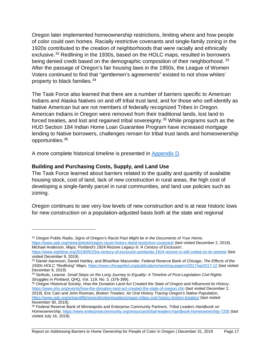Oregon later implemented homeownership restrictions, limiting where and how people of color could own homes. Racially restrictive covenants and single-family zoning in the 1920s contributed to the creation of neighborhoods that were racially and ethnically exclusive.[32](#page-21-1) Redlining in the 1930s, based on the HOLC maps, resulted in borrowers being denied credit based on the demographic composition of their neighborhood. [33](#page-21-2) After the passage of Oregon's fair housing laws in the 1950s, the League of Women Voters continued to find that "gentlemen's agreements" existed to not show whites' property to black families.[34](#page-21-3)

The Task Force also learned that there are a number of barriers specific to American Indians and Alaska Natives on and off tribal trust land, and for those who self-identify as Native American but are not members of federally recognized Tribes in Oregon. American Indians in Oregon were removed from their traditional lands, lost land to forced treaties, and lost and regained tribal sovereignty.<sup>[35](#page-21-4)</sup> While programs such as the HUD Section 184 Indian Home Loan Guarantee Program have increased mortgage lending to Native borrowers, challenges remain for tribal trust lands and homeownership opportunities. [36](#page-21-5)

A more complete historical timeline is presented in [Appendix D.](#page-54-0)

#### <span id="page-21-0"></span>**Building and Purchasing Costs, Supply, and Land Use**

 $\overline{a}$ 

The Task Force learned about barriers related to the quality and quantity of available housing stock, cost of land, lack of new construction in rural areas, the high cost of developing a single-family parcel in rural communities, and land use policies such as zoning.

Oregon continues to see very low levels of new construction and is at near historic lows for new construction on a population-adjusted basis both at the state and regional

Report on Addressing Barriers to Home Ownership for People of Color in Oregon | December 31, 2019 Page 17

<span id="page-21-1"></span><sup>32</sup> Oregon Public Radio, *Signs of Oregon's Racist Past Might be in the Documents of Your Home,* <https://www.opb.org/news/article/oregon-racist-history-deed-restrictive-covenant/> (last visited December 2, 2019). Michael Anderson, *Maps: Portland's 1924 Rezone Legacy Is 'A Century of Exclusion',*

<https://www.sightline.org/2018/05/25/a-century-of-exclusion-portlands-1924-rezone-is-still-coded-on-its-streets/> (last visited December 9, 2019).

<span id="page-21-2"></span><sup>33</sup> Daniel Aaronson, Daniel Hartley, and Bhashkar Mazumder, Federal Reserve Bank of Chicago, *The Effects of the 1930s HOLC "Redlining" Maps*[, https://www.chicagofed.org/publications/working-papers/2017/wp2017-12](https://www.chicagofed.org/publications/working-papers/2017/wp2017-12) (last visited December 8, 2019)

<span id="page-21-3"></span><sup>34</sup> Serbulo, Leanne. *Small Steps on the Long Journey to Equality: A Timeline of Post-Legislation Civil Rights Struggles in Portland*, QHQ, Vol. 119, No. 3. (376-399).

<span id="page-21-4"></span><sup>35</sup> Oregon Historical Society, *How the Donation Land Act Created the State of Oregon and Influenced its History*, <https://www.ohs.org/events/how-the-donation-land-act-created-the-state-of-oregon.cfm> (last visited December 2, 2019). Eric Cain and John Rosman, *Broken Treaties: An Oral History Tracing Oregon's Native Population,* <https://www.opb.org/artsandlife/series/brokentreaties/oregon-tribes-oral-history-broken-treaties/> (last visited November 30, 2019).

<span id="page-21-5"></span><sup>36</sup> Federal Reserve Bank of Minneapolis and Enterprise Community Partners, *Tribal Leaders Handbook on Homeownership*,<https://www.enterprisecommunity.org/resources/tribal-leaders-handbook-homeownership-7205> (last visited July 16, 2019).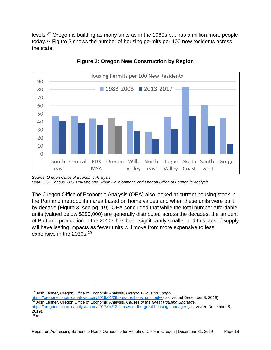levels.[37](#page-22-0) Oregon is building as many units as in the 1980s but has a million more people today.[38](#page-22-1) Figure 2 shows the number of housing permits per 100 new residents across the state.



**Figure 2: Oregon New Construction by Region**

The Oregon Office of Economic Analysis (OEA) also looked at current housing stock in the Portland metropolitan area based on home values and when these units were built by decade (Figure 3, see pg. 19). OEA concluded that while the total number affordable units (valued below \$290,000) are generally distributed across the decades, the amount of Portland production in the 2010s has been significantly smaller and this lack of supply will have lasting impacts as fewer units will move from more expensive to less expensive in the 2030s.<sup>[39](#page-22-2)</sup>

*Source: Oregon Office of Economic Analysis Data: U.S. Census, U.S. Housing and Urban Development, and Oregon Office of Economic Analysis*

<span id="page-22-0"></span><sup>37</sup> Josh Lehner, Oregon Office of Economic Analysis*, Oregon's Housing Supply*,

<https://oregoneconomicanalysis.com/2019/01/29/oregons-housing-supply/> (last visited December 8, 2019). <sup>38</sup> Josh Lehner, Oregon Office of Economic Analysis*, Causes of the Great Housing Shortage*,

<span id="page-22-2"></span><span id="page-22-1"></span><https://oregoneconomicanalysis.com/2017/04/12/causes-of-the-great-housing-shortage/> (last visited December 8, 2019). <sup>39</sup> *Id*.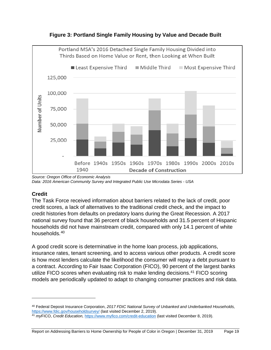

**Figure 3: Portland Single Family Housing by Value and Decade Built**

#### <span id="page-23-0"></span>**Credit**

 $\overline{a}$ 

The Task Force received information about barriers related to the lack of credit, poor credit scores, a lack of alternatives to the traditional credit check, and the impact to credit histories from defaults on predatory loans during the Great Recession. A 2017 national survey found that 36 percent of black households and 31.5 percent of Hispanic households did not have mainstream credit, compared with only 14.1 percent of white households. [40](#page-23-1)

A good credit score is determinative in the home loan process, job applications, insurance rates, tenant screening, and to access various other products. A credit score is how most lenders calculate the likelihood the consumer will repay a debt pursuant to a contract. According to Fair Isaac Corporation (FICO), 90 percent of the largest banks utilize FICO scores when evaluating risk to make lending decisions.<sup>[41](#page-23-2)</sup> FICO scoring models are periodically updated to adapt to changing consumer practices and risk data.

*Source: Oregon Office of Economic Analysis Data: 2016 American Community Survey and Integrated Public Use Microdata Series - USA*

<span id="page-23-1"></span><sup>40</sup> Federal Deposit Insurance Corporation, *2017 FDIC National Survey of Unbanked and Underbanked Households,* <https://www.fdic.gov/householdsurvey/> (last visited December 2, 2019).

<span id="page-23-2"></span><sup>41</sup> *my*FICO, *Credit Education,* <https://www.myfico.com/credit-education> (last visited December 8, 2019).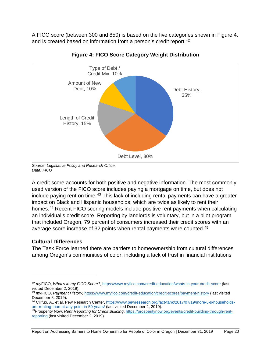A FICO score (between 300 and 850) is based on the five categories shown in Figure 4, and is created based on information from a person's credit report.<sup>[42](#page-24-1)</sup>



**Figure 4: FICO Score Category Weight Distribution**

A credit score accounts for both positive and negative information. The most commonly used version of the FICO score includes paying a mortgage on time, but does not include paying rent on time.<sup>[43](#page-24-2)</sup> This lack of including rental payments can have a greater impact on Black and Hispanic households, which are twice as likely to rent their homes.[44](#page-24-3) Recent FICO scoring models include positive rent payments when calculating an individual's credit score. Reporting by landlords is voluntary, but in a pilot program that included Oregon, 79 percent of consumers increased their credit scores with an average score increase of 32 points when rental payments were counted. [45](#page-24-4)

# <span id="page-24-0"></span>**Cultural Differences**

 $\overline{a}$ 

The Task Force learned there are barriers to homeownership from cultural differences among Oregon's communities of color, including a lack of trust in financial institutions

*Source: Legislative Policy and Research Office Data: FICO*

<span id="page-24-1"></span><sup>42</sup> *my*FICO, *What's in my FICO Score?,* <https://www.myfico.com/credit-education/whats-in-your-credit-score> (last visited December 2, 2019).

<span id="page-24-2"></span><sup>43</sup> *my*FICO, *Payment History,* <https://www.myfico.com/credit-education/credit-scores/payment-history> (last visited December 8, 2019).

<span id="page-24-3"></span><sup>44</sup> Cillfuo, A., et al, Pew Research Center[, https://www.pewresearch.org/fact-tank/2017/07/19/more-u-s-households](https://www.pewresearch.org/fact-tank/2017/07/19/more-u-s-households-are-renting-than-at-any-point-in-50-years/)[are-renting-than-at-any-point-in-50-years/](https://www.pewresearch.org/fact-tank/2017/07/19/more-u-s-households-are-renting-than-at-any-point-in-50-years/) (last visited December 2, 2019).

<span id="page-24-4"></span><sup>45</sup>Prosperity Now, *Rent Reporting for Credit Building*, [https://prosperitynow.org/events/credit-building-through-rent](https://prosperitynow.org/events/credit-building-through-rent-reporting)[reporting](https://prosperitynow.org/events/credit-building-through-rent-reporting) (last visited December 2, 2019).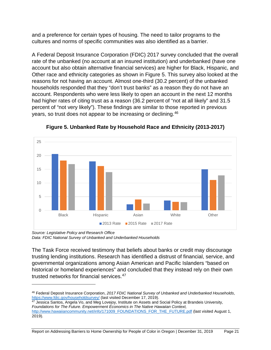and a preference for certain types of housing. The need to tailor programs to the cultures and norms of specific communities was also identified as a barrier.

A Federal Deposit Insurance Corporation (FDIC) 2017 survey concluded that the overall rate of the unbanked (no account at an insured institution) and underbanked (have one account but also obtain alternative financial services) are higher for Black, Hispanic, and Other race and ethnicity categories as shown in Figure 5. This survey also looked at the reasons for not having an account. Almost one-third (30.2 percent) of the unbanked households responded that they "don't trust banks" as a reason they do not have an account. Respondents who were less likely to open an account in the next 12 months had higher rates of citing trust as a reason (36.2 percent of "not at all likely" and 31.5 percent of "not very likely"). These findings are similar to those reported in previous years, so trust does not appear to be increasing or declining.<sup>[46](#page-25-0)</sup>



**Figure 5. Unbanked Rate by Household Race and Ethnicity (2013-2017)**

*Source: Legislative Policy and Research Office Data: FDIC National Survey of Unbanked and Underbanked Households*

 $\overline{a}$ 

The Task Force received testimony that beliefs about banks or credit may discourage trusting lending institutions. Research has identified a distrust of financial, service, and governmental organizations among Asian American and Pacific Islanders "based on historical or homeland experiences" and concluded that they instead rely on their own trusted networks for financial services. [47](#page-25-1)

<span id="page-25-1"></span> $^{47}$  Jessica Santos, Angela Vo, and Meg Lovejoy, Institute on Assets and Social Policy at Brandeis University, *Foundations for The Future. Empowerment Economics in The Native Hawaiian Context,*  [http://www.hawaiiancommunity.net/info/171009\\_FOUNDATIONS\\_FOR\\_THE\\_FUTURE.pdf](http://www.hawaiiancommunity.net/info/171009_FOUNDATIONS_FOR_THE_FUTURE.pdf) (last visited August 1, 2019).

Report on Addressing Barriers to Home Ownership for People of Color in Oregon | December 31, 2019 Page 21

<span id="page-25-0"></span><sup>46</sup> Federal Deposit Insurance Corporation, *2017 FDIC National Survey of Unbanked and Underbanked Households*, <u><https://www.fdic.gov/householdsurvey/></u> (last visited December 17, 2019).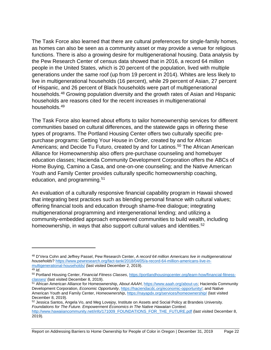The Task Force also learned that there are cultural preferences for single-family homes, as homes can also be seen as a community asset or may provide a venue for religious functions. There is also a growing desire for multigenerational housing. Data analysis by the Pew Research Center of census data showed that in 2016, a record 64 million people in the United States, which is 20 percent of the population, lived with multiple generations under the same roof (up from 19 percent in 2014). Whites are less likely to live in multigenerational households (16 percent), while 29 percent of Asian, 27 percent of Hispanic, and 26 percent of Black households were part of multigenerational households.[48](#page-26-0) Growing population diversity and the growth rates of Asian and Hispanic households are reasons cited for the recent increases in multigenerational households.[49](#page-26-1)

The Task Force also learned about efforts to tailor homeownership services for different communities based on cultural differences, and the statewide gaps in offering these types of programs. The Portland Housing Center offers two culturally specific prepurchase programs: Getting Your House in Order, created by and for African Americans; and Decide Tu Futuro, created by and for Latinos.<sup>[50](#page-26-2)</sup> The African American Alliance for Homeownership also offers pre-purchase counseling and homebuyer education classes; Hacienda Community Development Corporation offers the ABCs of Home Buying, Camino a Casa, and one-on-one counseling; and the Native American Youth and Family Center provides culturally specific homeownership coaching, education, and programming.<sup>[51](#page-26-3)</sup>

An evaluation of a culturally responsive financial capability program in Hawaii showed that integrating best practices such as blending personal finance with cultural values; offering financial tools and education through shame-free dialogue; integrating multigenerational programming and intergenerational lending; and utilizing a community-embedded approach empowered communities to build wealth, including homeownership, in ways that also support cultural values and identities.<sup>[52](#page-26-4)</sup>

 $\overline{a}$ 

Report on Addressing Barriers to Home Ownership for People of Color in Oregon | December 31, 2019 Page 22

<span id="page-26-0"></span><sup>48</sup> D'Vera Cohn and Jeffrey Passel, Pew Research Center, *A record 64 million Americans live in multigenerational households*[? https://www.pewresearch.org/fact-tank/2018/04/05/a-record-64-million-americans-live-in](https://www.pewresearch.org/fact-tank/2018/04/05/a-record-64-million-americans-live-in-multigenerational-households/)[multigenerational-households/](https://www.pewresearch.org/fact-tank/2018/04/05/a-record-64-million-americans-live-in-multigenerational-households/) (last visited December 2, 2019).

<span id="page-26-1"></span> $49$  *Id.* 

<span id="page-26-2"></span><sup>50</sup> Portland Housing Center, *Financial Fitness Classes*, [https://portlandhousingcenter.org/learn-how/financial-fitness](https://portlandhousingcenter.org/learn-how/financial-fitness-classes/)[classes/](https://portlandhousingcenter.org/learn-how/financial-fitness-classes/) (last visited December 8, 2019).

<span id="page-26-3"></span><sup>51</sup> African American Alliance for Homeownership, *About AAAH*, [https://www.aaah.org/about-us;](https://www.aaah.org/about-us) Hacienda Community Development Corporation, *Economic Opportunity*, [https://haciendacdc.org/economic-opportunity/;](https://haciendacdc.org/economic-opportunity/) and Native American Youth and Family Center, *Homeownership*,<https://nayapdx.org/services/homeownership/> (last visited December 8, 2019).

<span id="page-26-4"></span><sup>52</sup> Jessica Santos, Angela Vo, and Meg Lovejoy, Institute on Assets and Social Policy at Brandeis University. *Foundations for The Future. Empowerment Economics in The Native Hawaiian Context.* [http://www.hawaiiancommunity.net/info/171009\\_FOUNDATIONS\\_FOR\\_THE\\_FUTURE.pdf](http://www.hawaiiancommunity.net/info/171009_FOUNDATIONS_FOR_THE_FUTURE.pdf) (last visited December 8, 2019).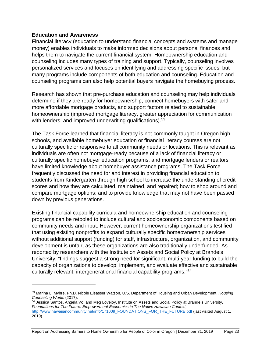#### <span id="page-27-0"></span>**Education and Awareness**

 $\overline{a}$ 

Financial literacy (education to understand financial concepts and systems and manage money) enables individuals to make informed decisions about personal finances and helps them to navigate the current financial system. Homeownership education and counseling includes many types of training and support. Typically, counseling involves personalized services and focuses on identifying and addressing specific issues, but many programs include components of both education and counseling. Education and counseling programs can also help potential buyers navigate the homebuying process.

Research has shown that pre-purchase education and counseling may help individuals determine if they are ready for homeownership, connect homebuyers with safer and more affordable mortgage products, and support factors related to sustainable homeownership (improved mortgage literacy, greater appreciation for communication with lenders, and improved underwriting qualifications).<sup>[53](#page-27-1)</sup>

The Task Force learned that financial literacy is not commonly taught in Oregon high schools, and available homebuyer education or financial literacy courses are not culturally specific or responsive to all community needs or locations. This is relevant as individuals are often not mortgage-ready because of a lack of financial literacy or culturally specific homebuyer education programs, and mortgage lenders or realtors have limited knowledge about homebuyer assistance programs. The Task Force frequently discussed the need for and interest in providing financial education to students from Kindergarten through high school to increase the understanding of credit scores and how they are calculated, maintained, and repaired; how to shop around and compare mortgage options; and to provide knowledge that may not have been passed down by previous generations.

Existing financial capability curricula and homeownership education and counseling programs can be retooled to include cultural and socioeconomic components based on community needs and input. However, current homeownership organizations testified that using existing nonprofits to expand culturally specific homeownership services without additional support (funding) for staff, infrastructure, organization, and community development is unfair, as these organizations are also traditionally underfunded. As reported by researchers with the Institute on Assets and Social Policy at Brandeis University, "findings suggest a strong need for significant, multi-year funding to build the capacity of organizations to develop, implement, and evaluate effective and sustainable culturally relevant, intergenerational financial capability programs."[54](#page-27-2)

<span id="page-27-1"></span><sup>53</sup> Marina L. Myhre, Ph.D. Nicole Elsasser Watson, U.S. Department of Housing and Urban Development, *Housing Counseling Works* (2017).

<span id="page-27-2"></span><sup>54</sup> Jessica Santos, Angela Vo, and Meg Lovejoy, Institute on Assets and Social Policy at Brandeis University, *Foundations for The Future. Empowerment Economics in The Native Hawaiian Context,*  [http://www.hawaiiancommunity.net/info/171009\\_FOUNDATIONS\\_FOR\\_THE\\_FUTURE.pdf](http://www.hawaiiancommunity.net/info/171009_FOUNDATIONS_FOR_THE_FUTURE.pdf) (last visited August 1, 2019).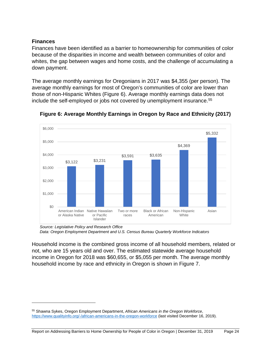#### <span id="page-28-0"></span>**Finances**

 $\overline{a}$ 

Finances have been identified as a barrier to homeownership for communities of color because of the disparities in income and wealth between communities of color and whites, the gap between wages and home costs, and the challenge of accumulating a down payment.

The average monthly earnings for Oregonians in 2017 was \$4,355 (per person). The average monthly earnings for most of Oregon's communities of color are lower than those of non-Hispanic Whites (Figure 6). Average monthly earnings data does not include the self-employed or jobs not covered by unemployment insurance.<sup>[55](#page-28-1)</sup>



**Figure 6: Average Monthly Earnings in Oregon by Race and Ethnicity (2017)**

*Source: Legislative Policy and Research Office Data: Oregon Employment Department and U.S. Census Bureau Quarterly Workforce Indicators*

Household income is the combined gross income of all household members, related or not, who are 15 years old and over. The estimated statewide average household income in Oregon for 2018 was \$60,655, or \$5,055 per month. The average monthly household income by race and ethnicity in Oregon is shown in Figure 7.

<span id="page-28-1"></span><sup>55</sup> Shawna Sykes, Oregon Employment Department, *African Americans in the Oregon Workforce*, <https://www.qualityinfo.org/-/african-americans-in-the-oregon-workforce> (last visited December 16, 2019).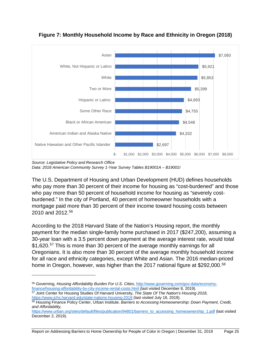

#### **Figure 7: Monthly Household Income by Race and Ethnicity in Oregon (2018)**

*Source: Legislative Policy and Research Office Data: 2018 American Community Survey 1-Year Survey Tables B19001A – B19001I*

The U.S. Department of Housing and Urban Development (HUD) defines households who pay more than 30 percent of their income for housing as "cost-burdened" and those who pay more than 50 percent of household income for housing as "severely costburdened." In the city of Portland, 40 percent of homeowner households with a mortgage paid more than 30 percent of their income toward housing costs between 2010 and 2012.[56](#page-29-0)

According to the 2018 Harvard State of the Nation's Housing report, the monthly payment for the median single-family home purchased in 2017 (\$247,200), assuming a 30-year loan with a 3.5 percent down payment at the average interest rate, would total \$1,620.<sup>[57](#page-29-1)</sup> This is more than 30 percent of the average monthly earnings for all Oregonians. It is also more than 30 percent of the average monthly household income for all race and ethnicity categories, except White and Asian. The 2016 median-priced home in Oregon, however, was higher than the 2017 national figure at \$292,000.<sup>[58](#page-29-2)</sup>

```
https://www.jchs.harvard.edu/state-nations-housing-2018 (last visited July 18, 2019).
```
 $\overline{a}$ 

```
58 Housing Finance Policy Center, Urban Institute. Barriers to Accessing Homeownership: Down Payment, Credit, 
and Affordability,
```
Report on Addressing Barriers to Home Ownership for People of Color in Oregon | December 31, 2019 Page 25

<span id="page-29-0"></span><sup>56</sup> Governing, *Housing Affordability Burden For U.S. Cities*, [http://www.governing.com/gov-data/economy](http://www.governing.com/gov-data/economy-finance/housing-affordability-by-city-income-rental-costs.html)finance/housing-affordability-by-city-income-rental-costs.html (last visited December 8, 2019). 57 Joint Center for Housing Studies Of Harvard University, *The State Of The Nation's Housing 2018*,

[https://www.urban.org/sites/default/files/publication/94801/barriers\\_to\\_accessing\\_homeownership\\_1.pdf](https://www.urban.org/sites/default/files/publication/94801/barriers_to_accessing_homeownership_1.pdf) (last visited December 2, 2019).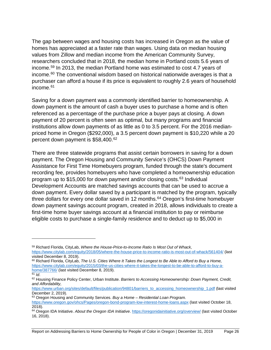The gap between wages and housing costs has increased in Oregon as the value of homes has appreciated at a faster rate than wages. Using data on median housing values from Zillow and median income from the American Community Survey, researchers concluded that in 2018, the median home in Portland costs 5.6 years of income. [59](#page-30-0) In 2013, the median Portland home was estimated to cost 4.7 years of income[.60](#page-30-1) The conventional wisdom based on historical nationwide averages is that a purchaser can afford a house if its price is equivalent to roughly 2.6 years of household income. [61](#page-30-2)

Saving for a down payment was a commonly identified barrier to homeownership. A down payment is the amount of cash a buyer uses to purchase a home and is often referenced as a percentage of the purchase price a buyer pays at closing. A down payment of 20 percent is often seen as optimal, but many programs and financial institutions allow down payments of as little as 0 to 3.5 percent. For the 2016 medianpriced home in Oregon (\$292,000), a 3.5 percent down payment is \$10,220 while a 20 percent down payment is \$58,400. [62](#page-30-3)

There are three statewide programs that assist certain borrowers in saving for a down payment. The Oregon Housing and Community Service's (OHCS) Down Payment Assistance for First Time Homebuyers program, funded through the state's document recording fee, provides homebuyers who have completed a homeownership education program up to \$15,000 for down payment and/or closing costs.[63](#page-30-4) Individual Development Accounts are matched savings accounts that can be used to accrue a down payment. Every dollar saved by a participant is matched by the program, typically three dollars for every one dollar saved in 12 months.<sup>[64](#page-30-5)</sup> Oregon's first-time homebuyer down payment savings account program, created in 2018, allows individuals to create a first-time home buyer savings account at a financial institution to pay or reimburse eligible costs to purchase a single-family residence and to deduct up to \$5,000 in

<span id="page-30-0"></span><sup>59</sup> Richard Florida, CityLab, *Where the House-Price-to-Income Ratio Is Most Out of Whack,* <https://www.citylab.com/equity/2018/05/where-the-house-price-to-income-ratio-is-most-out-of-whack/561404/> (last visited December 8, 2019).

<span id="page-30-1"></span><sup>60</sup> Richard Florida, CityLab, *The U.S. Cities Where It Takes the Longest to Be Able to Afford to Buy a Home,* [https://www.citylab.com/equity/2015/03/the-us-cities-where-it-takes-the-longest-to-be-able-to-afford-to-buy-a](https://www.citylab.com/equity/2015/03/the-us-cities-where-it-takes-the-longest-to-be-able-to-afford-to-buy-a-home/387766/)[home/387766/](https://www.citylab.com/equity/2015/03/the-us-cities-where-it-takes-the-longest-to-be-able-to-afford-to-buy-a-home/387766/) (last visited December 8, 2019).

<span id="page-30-2"></span> $\overline{61}$  *Id.* 

<span id="page-30-3"></span><sup>62</sup> Housing Finance Policy Center, Urban Institute. *Barriers to Accessing Homeownership: Down Payment, Credit, and Affordability,*

[https://www.urban.org/sites/default/files/publication/94801/barriers\\_to\\_accessing\\_homeownership\\_1.pdf](https://www.urban.org/sites/default/files/publication/94801/barriers_to_accessing_homeownership_1.pdf) (last visited December 2, 2019).

<span id="page-30-4"></span><sup>63</sup> Oregon Housing and Community Services. *Buy a Home – Residential Loan Program.*

<https://www.oregon.gov/ohcs/Pages/oregon-bond-program-low-interest-home-loans.aspx> (last visited October 18, 2018).

<span id="page-30-5"></span><sup>64</sup> Oregon IDA Initiative. *About the Oregon IDA Initiative*.<https://oregonidainitiative.org/overview/> (last visited October 16, 2018).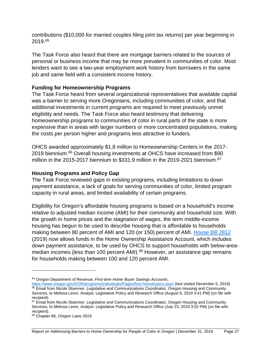contributions (\$10,000 for married couples filing joint tax returns) per year beginning in 2019. [65](#page-31-2)

The Task Force also heard that there are mortgage barriers related to the sources of personal or business income that may be more prevalent in communities of color. Most lenders want to see a two-year employment work history from borrowers in the same job and same field with a consistent income history.

#### <span id="page-31-0"></span>**Funding for Homeownership Programs**

The Task Force heard from several organizational representatives that available capital was a barrier to serving more Oregonians, including communities of color, and that additional investments in current programs are required to meet previously unmet eligibility and needs. The Task Force also heard testimony that delivering homeownership programs to communities of color in rural parts of the state is more expensive than in areas with larger numbers or more concentrated populations, making the costs per person higher and programs less attractive to funders.

OHCS awarded approximately \$1.8 million to Homeownership Centers in the 2017- 2019 biennium. [66](#page-31-3) Overall housing investments at OHCS have increased from \$90 million in the 2015-2017 biennium to \$331.9 million in the 2019-2021 biennium.<sup>67</sup>

#### <span id="page-31-1"></span>**Housing Programs and Policy Gap**

The Task Force reviewed gaps in existing programs, including limitations to down payment assistance, a lack of goals for serving communities of color, limited program capacity in rural areas, and limited availability of certain programs.

Eligibility for Oregon's affordable housing programs is based on a household's income relative to adjusted median income (AMI) for their community and household size. With the growth in home prices and the stagnation of wages, the term middle-income housing has begun to be used to describe housing that is affordable to households making between 80 percent of AMI and 120 (or 150) percent of AMI. [House Bill 2812](https://olis.leg.state.or.us/liz/2019R1/Measures/Overview/HB2812) (2019) now allows funds in the Home Ownership Assistance Account, which includes down payment assistance, to be used by OHCS to support households with below-area-median incomes (less than 100 percent AMI).<sup>[68](#page-31-5)</sup> However, an assistance gap remains for households making between 100 and 120 percent AMI.

<span id="page-31-2"></span><sup>65</sup> Oregon Department of Revenue, *First-time Home Buyer Savings Accounts*,

<span id="page-31-3"></span><https://www.oregon.gov/DOR/programs/individuals/Pages/first-homebuyers.aspx> (last visited December 5, 2019). 66 Email from Nicole Stoenner, Legislative and Communications Coordinator, Oregon Housing and Community Services, to Melissa Leoni, Analyst, Legislative Policy and Research Office (August 9, 2019 3:41 PM) (on file with recipient).

<span id="page-31-4"></span><sup>&</sup>lt;sup>67</sup> Email from Nicole Stoenner, Legislative and Communications Coordinator, Oregon Housing and Community Services, to Melissa Leoni, Analyst, Legislative Policy and Research Office (July 23, 2019 3:52 PM) (on file with recipient).

<span id="page-31-5"></span><sup>68</sup> Chapter 88, Oregon Laws 2019.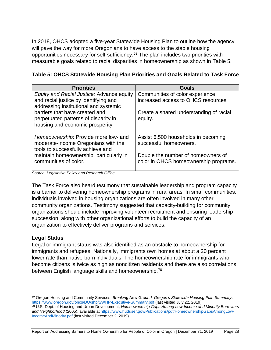In 2018, OHCS adopted a five-year Statewide Housing Plan to outline how the agency will pave the way for more Oregonians to have access to the stable housing opportunities necessary for self-sufficiency.[69](#page-32-1) The plan includes two priorities with measurable goals related to racial disparities in homeownership as shown in Table 5.

| Table 5: OHCS Statewide Housing Plan Priorities and Goals Related to Task Force |  |  |
|---------------------------------------------------------------------------------|--|--|
|---------------------------------------------------------------------------------|--|--|

| <b>Priorities</b>                                                              | <b>Goals</b>                            |
|--------------------------------------------------------------------------------|-----------------------------------------|
| Equity and Racial Justice: Advance equity                                      | Communities of color experience         |
| and racial justice by identifying and<br>addressing institutional and systemic | increased access to OHCS resources.     |
| barriers that have created and                                                 | Create a shared understanding of racial |
| perpetuated patterns of disparity in                                           | equity.                                 |
| housing and economic prosperity.                                               |                                         |
| Homeownership: Provide more low- and                                           | Assist 6,500 households in becoming     |
| moderate-income Oregonians with the<br>tools to successfully achieve and       | successful homeowners.                  |
| maintain homeownership, particularly in                                        | Double the number of homeowners of      |
| communities of color.                                                          | color in OHCS homeownership programs.   |
|                                                                                |                                         |

*Source: Legislative Policy and Research Office*

The Task Force also heard testimony that sustainable leadership and program capacity is a barrier to delivering homeownership programs in rural areas. In small communities, individuals involved in housing organizations are often involved in many other community organizations. Testimony suggested that capacity-building for community organizations should include improving volunteer recruitment and ensuring leadership succession, along with other organizational efforts to build the capacity of an organization to effectively deliver programs and services.

#### <span id="page-32-0"></span>**Legal Status**

 $\overline{a}$ 

Legal or immigrant status was also identified as an obstacle to homeownership for immigrants and refugees. Nationally, immigrants own homes at about a 20 percent lower rate than native-born individuals. The homeownership rate for immigrants who become citizens is twice as high as noncitizen residents and there are also correlations between English language skills and homeownership.<sup>[70](#page-32-2)</sup>

Report on Addressing Barriers to Home Ownership for People of Color in Oregon | December 31, 2019 Page 28

<span id="page-32-1"></span><sup>69</sup> Oregon Housing and Community Services, *Breaking New Ground: Oregon's Statewide Housing Plan Summary*, <https://www.oregon.gov/ohcs/DO/shp/SWHP-Executive-Summary.pdf> (last visited July 22, 2019).

<span id="page-32-2"></span><sup>70</sup> U.S. Dept. of Housing and Urban Development, *Homeownership Gaps Among Low-Income and Minority Borrowers and Neighborhood* (2005), available a[t https://www.huduser.gov/Publications/pdf/HomeownershipGapsAmongLow-](https://www.huduser.gov/Publications/pdf/HomeownershipGapsAmongLow-IncomeAndMinority.pdf)[IncomeAndMinority.pdf](https://www.huduser.gov/Publications/pdf/HomeownershipGapsAmongLow-IncomeAndMinority.pdf) (last visited December 2, 2019).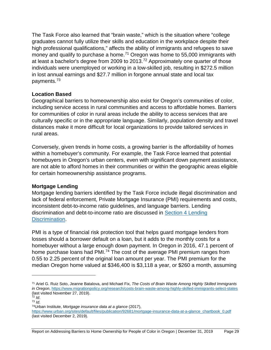The Task Force also learned that "brain waste," which is the situation where "college graduates cannot fully utilize their skills and education in the workplace despite their high professional qualifications," affects the ability of immigrants and refugees to save money and qualify to purchase a home.<sup>[71](#page-33-2)</sup> Oregon was home to 55,000 immigrants with at least a bachelor's degree from 2009 to 2013.[72](#page-33-3) Approximately one quarter of those individuals were unemployed or working in a low-skilled job, resulting in \$272.5 million in lost annual earnings and \$27.7 million in forgone annual state and local tax payments.[73](#page-33-4)

#### <span id="page-33-0"></span>**Location Based**

Geographical barriers to homeownership also exist for Oregon's communities of color, including service access in rural communities and access to affordable homes. Barriers for communities of color in rural areas include the ability to access services that are culturally specific or in the appropriate language. Similarly, population density and travel distances make it more difficult for local organizations to provide tailored services in rural areas.

Conversely, given trends in home costs, a growing barrier is the affordability of homes within a homebuyer's community. For example, the Task Force learned that potential homebuyers in Oregon's urban centers, even with significant down payment assistance, are not able to afford homes in their communities or within the geographic areas eligible for certain homeownership assistance programs.

#### <span id="page-33-1"></span>**Mortgage Lending**

Mortgage lending barriers identified by the Task Force include illegal discrimination and lack of federal enforcement, Private Mortgage Insurance (PMI) requirements and costs, inconsistent debt-to-income ratio guidelines, and language barriers. Lending discrimination and debt-to-income ratio are discussed in [Section 4 Lending](#page-14-5) [Discrimination.](#page-14-5)

PMI is a type of financial risk protection tool that helps guard mortgage lenders from losses should a borrower default on a loan, but it adds to the monthly costs for a homebuyer without a large enough down payment. In Oregon in 2016, 47.1 percent of home purchase loans had PMI.<sup>[74](#page-33-5)</sup> The cost of the average PMI premium ranges from 0.55 to 2.25 percent of the original loan amount per year. The PMI premium for the median Oregon home valued at \$346,400 is \$3,118 a year, or \$260 a month, assuming

<span id="page-33-2"></span><sup>71</sup> Ariel G. Ruiz Soto, Jeanne Batalova, and Michael Fix, *The Costs of Brain Waste Among Highly Skilled Immigrants in Oregon*[, https://www.migrationpolicy.org/research/costs-brain-waste-among-highly-skilled-immigrants-select-states](https://www.migrationpolicy.org/research/costs-brain-waste-among-highly-skilled-immigrants-select-states) (last visited November 27, 2019).

<span id="page-33-3"></span> $72$  *Id.* 

<span id="page-33-4"></span><sup>73</sup> *Id*.

<span id="page-33-5"></span><sup>74</sup>Urban Institute, *Mortgage insurance data at a glance* (2017),

[https://www.urban.org/sites/default/files/publication/92681/mortgage-insurance-data-at-a-glance\\_chartbook\\_0.pdf](https://www.urban.org/sites/default/files/publication/92681/mortgage-insurance-data-at-a-glance_chartbook_0.pdf) (last visited December 2, 2019).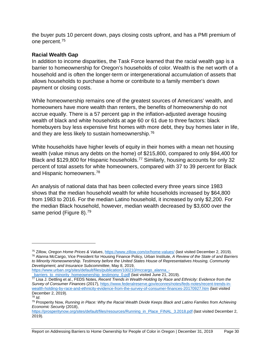the buyer puts 10 percent down, pays closing costs upfront, and has a PMI premium of one percent.[75](#page-34-1)

#### <span id="page-34-0"></span>**Racial Wealth Gap**

 $\overline{a}$ 

In addition to income disparities, the Task Force learned that the racial wealth gap is a barrier to homeownership for Oregon's households of color. Wealth is the net worth of a household and is often the longer-term or intergenerational accumulation of assets that allows households to purchase a home or contribute to a family member's down payment or closing costs.

While homeownership remains one of the greatest sources of Americans' wealth, and homeowners have more wealth than renters, the benefits of homeownership do not accrue equally. There is a 57 percent gap in the inflation-adjusted average housing wealth of black and white households at age 60 or 61 due to three factors: black homebuyers buy less expensive first homes with more debt, they buy homes later in life, and they are less likely to sustain homeownership.<sup>[76](#page-34-2)</sup>

White households have higher levels of equity in their homes with a mean net housing wealth (value minus any debts on the home) of \$215,800, compared to only \$94,400 for Black and \$129,800 for Hispanic households.<sup>[77](#page-34-3)</sup> Similarly, housing accounts for only 32 percent of total assets for white homeowners, compared with 37 to 39 percent for Black and Hispanic homeowners.[78](#page-34-4)

An analysis of national data that has been collected every three years since 1983 shows that the median household wealth for white households increased by \$64,800 from 1983 to 2016. For the median Latino household, it increased by only \$2,200. For the median Black household, however, median wealth decreased by \$3,600 over the same period (Figure 8).<sup>[79](#page-34-5)</sup>

[https://www.urban.org/sites/default/files/publication/100210/mccargo\\_alanna\\_](https://www.urban.org/sites/default/files/publication/100210/mccargo_alanna_-_barriers_to_minority_homeownership_testimony_0.pdf) barriers\_to\_minority\_homeownership\_testimony\_0.pdf (last visited June 21, 2019).

<span id="page-34-1"></span><sup>75</sup> Zillow, *Oregon Home Prices & Values*[, https://www.zillow.com/or/home-values/](https://www.zillow.com/or/home-values/) (last visited December 2, 2019).

<span id="page-34-2"></span><sup>76</sup> Alanna McCargo, Vice President for Housing Finance Policy, Urban Institute, *A Review of the State of and Barriers to Minority Homeownership. Testimony before the United States House of Representatives Housing, Community Development, and Insurance Subcommittee*, May 8, 2019,

<span id="page-34-3"></span><sup>77</sup> Lisa J. Dettling et al., FEDS Notes, *Recent Trends in Wealth-Holding by Race and Ethnicity: Evidence from the Survey of Consumer Finances* (2017)[, https://www.federalreserve.gov/econres/notes/feds-notes/recent-trends-in](https://www.federalreserve.gov/econres/notes/feds-notes/recent-trends-in-wealth-holding-by-race-and-ethnicity-evidence-from-the-survey-of-consumer-finances-20170927.htm)[wealth-holding-by-race-and-ethnicity-evidence-from-the-survey-of-consumer-finances-20170927.htm](https://www.federalreserve.gov/econres/notes/feds-notes/recent-trends-in-wealth-holding-by-race-and-ethnicity-evidence-from-the-survey-of-consumer-finances-20170927.htm) (last visited December 2, 2019). <sup>78</sup> *Id*.

<span id="page-34-5"></span><span id="page-34-4"></span><sup>79</sup> Prosperity Now, *Running in Place: Why the Racial Wealth Divide Keeps Black and Latino Families from Achieving Economic Security* (2018),

[https://prosperitynow.org/sites/default/files/resources/Running\\_in\\_Place\\_FINAL\\_3.2018.pdf](https://prosperitynow.org/sites/default/files/resources/Running_in_Place_FINAL_3.2018.pdf) (last visited December 2, 2019).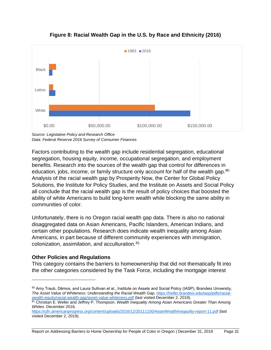

**Figure 8: Racial Wealth Gap in the U.S. by Race and Ethnicity (2016)**

*Source: Legislative Policy and Research Office Data: Federal Reserve 2016 Survey of Consumer Finances*

Factors contributing to the wealth gap include residential segregation, educational segregation, housing equity, income, occupational segregation, and employment benefits. Research into the sources of the wealth gap that control for differences in education, jobs, income, or family structure only account for half of the wealth gap.<sup>80</sup> Analysis of the racial wealth gap by Prosperity Now, the Center for Global Policy Solutions, the Institute for Policy Studies, and the Institute on Assets and Social Policy all conclude that the racial wealth gap is the result of policy choices that boosted the ability of white Americans to build long-term wealth while blocking the same ability in communities of color.

Unfortunately, there is no Oregon racial wealth gap data. There is also no national disaggregated data on Asian Americans, Pacific Islanders, American Indians, and certain other populations. Research does indicate wealth inequality among Asian Americans, in part because of different community experiences with immigration, colonization, assimilation, and acculturation.[81](#page-35-2)

#### <span id="page-35-0"></span>**Other Policies and Regulations**

 $\overline{a}$ 

This category contains the barriers to homeownership that did not thematically fit into the other categories considered by the Task Force, including the mortgage interest

<span id="page-35-1"></span><sup>80</sup> Amy Traub, Dēmos, and Laura Sullivan et al., Institute on Assets and Social Policy (IASP), Brandeis University, *The Asset Value of Whiteness: Understanding the Racial Wealth Gap*[, https://heller.brandeis.edu/iasp/pdfs/racial](https://heller.brandeis.edu/iasp/pdfs/racial-wealth-equity/racial-wealth-gap/asset-value-whiteness.pdf)[wealth-equity/racial-wealth-gap/asset-value-whiteness.pdf](https://heller.brandeis.edu/iasp/pdfs/racial-wealth-equity/racial-wealth-gap/asset-value-whiteness.pdf) (last visited December 2, 2019).

<span id="page-35-2"></span><sup>81</sup> Christian E. Weller and Jeffrey P. Thompson. *Wealth Inequality Among Asian Americans Greater Than Among Whites.* December 2016*,* 

<https://cdn.americanprogress.org/content/uploads/2016/12/20111150/AsianWealthIneqaulity-report-11.pdf> (last visited December 2, 2019).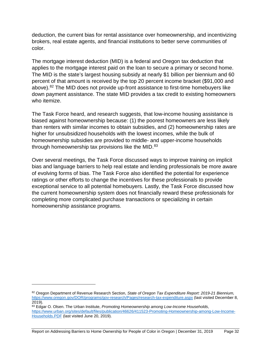deduction, the current bias for rental assistance over homeownership, and incentivizing brokers, real estate agents, and financial institutions to better serve communities of color.

The mortgage interest deduction (MID) is a federal and Oregon tax deduction that applies to the mortgage interest paid on the loan to secure a primary or second home. The MID is the state's largest housing subsidy at nearly \$1 billion per biennium and 60 percent of that amount is received by the top 20 percent income bracket (\$91,000 and above).<sup>[82](#page-36-0)</sup> The MID does not provide up-front assistance to first-time homebuyers like down payment assistance. The state MID provides a tax credit to existing homeowners who itemize.

The Task Force heard, and research suggests, that low-income housing assistance is biased against homeownership because: (1) the poorest homeowners are less likely than renters with similar incomes to obtain subsidies, and (2) homeownership rates are higher for unsubsidized households with the lowest incomes, while the bulk of homeownership subsidies are provided to middle- and upper-income households through homeownership tax provisions like the MID.<sup>[83](#page-36-1)</sup>

Over several meetings, the Task Force discussed ways to improve training on implicit bias and language barriers to help real estate and lending professionals be more aware of evolving forms of bias. The Task Force also identified the potential for experience ratings or other efforts to change the incentives for these professionals to provide exceptional service to all potential homebuyers. Lastly, the Task Force discussed how the current homeownership system does not financially reward these professionals for completing more complicated purchase transactions or specializing in certain homeownership assistance programs.

<span id="page-36-0"></span><sup>82</sup> Oregon Department of Revenue Research Section, *State of Oregon Tax Expenditure Report: 2019-21 Biennium,* <https://www.oregon.gov/DOR/programs/gov-research/Pages/research-tax-expenditure.aspx> (last visited December 8, 2019).

<span id="page-36-1"></span><sup>83</sup> Edgar O. Olsen. The Urban Institute, *Promoting Homeownership among Low-Income Households*, [https://www.urban.org/sites/default/files/publication/46626/411523-Promoting-Homeownership-among-Low-Income-](https://www.urban.org/sites/default/files/publication/46626/411523-Promoting-Homeownership-among-Low-Income-Households.PDF)[Households.PDF](https://www.urban.org/sites/default/files/publication/46626/411523-Promoting-Homeownership-among-Low-Income-Households.PDF) (last visited June 20, 2019).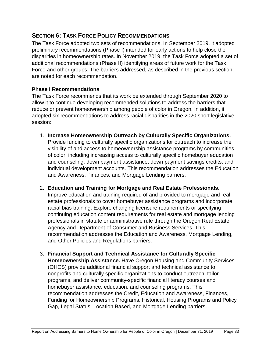# <span id="page-37-0"></span>**SECTION 6: TASK FORCE POLICY RECOMMENDATIONS**

The Task Force adopted two sets of recommendations. In September 2019, it adopted preliminary recommendations (Phase I) intended for early actions to help close the disparities in homeownership rates. In November 2019, the Task Force adopted a set of additional recommendations (Phase II) identifying areas of future work for the Task Force and other groups. The barriers addressed, as described in the previous section, are noted for each recommendation.

#### <span id="page-37-1"></span>**Phase I Recommendations**

The Task Force recommends that its work be extended through September 2020 to allow it to continue developing recommended solutions to address the barriers that reduce or prevent homeownership among people of color in Oregon. In addition, it adopted six recommendations to address racial disparities in the 2020 short legislative session:

- 1. **Increase Homeownership Outreach by Culturally Specific Organizations.** Provide funding to culturally specific organizations for outreach to increase the visibility of and access to homeownership assistance programs by communities of color, including increasing access to culturally specific homebuyer education and counseling, down payment assistance, down payment savings credits, and individual development accounts. This recommendation addresses the Education and Awareness, Finances, and Mortgage Lending barriers.
- 2. **Education and Training for Mortgage and Real Estate Professionals.**  Improve education and training required of and provided to mortgage and real estate professionals to cover homebuyer assistance programs and incorporate racial bias training. Explore changing licensure requirements or specifying continuing education content requirements for real estate and mortgage lending professionals in statute or administrative rule through the Oregon Real Estate Agency and Department of Consumer and Business Services. This recommendation addresses the Education and Awareness, Mortgage Lending, and Other Policies and Regulations barriers.
- 3. **Financial Support and Technical Assistance for Culturally Specific Homeownership Assistance.** Have Oregon Housing and Community Services (OHCS) provide additional financial support and technical assistance to nonprofits and culturally specific organizations to conduct outreach, tailor programs, and deliver community-specific financial literacy courses and homebuyer assistance, education, and counseling programs. This recommendation addresses the Credit, Education and Awareness, Finances, Funding for Homeownership Programs, Historical, Housing Programs and Policy Gap, Legal Status, Location Based, and Mortgage Lending barriers.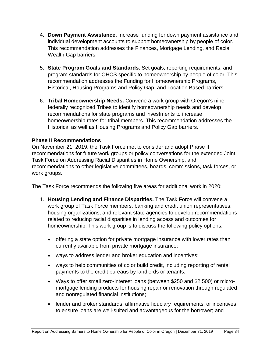- 4. **Down Payment Assistance.** Increase funding for down payment assistance and individual development accounts to support homeownership by people of color. This recommendation addresses the Finances, Mortgage Lending, and Racial Wealth Gap barriers.
- 5. **State Program Goals and Standards.** Set goals, reporting requirements, and program standards for OHCS specific to homeownership by people of color. This recommendation addresses the Funding for Homeownership Programs, Historical, Housing Programs and Policy Gap, and Location Based barriers.
- 6. **Tribal Homeownership Needs.** Convene a work group with Oregon's nine federally recognized Tribes to identify homeownership needs and develop recommendations for state programs and investments to increase homeownership rates for tribal members. This recommendation addresses the Historical as well as Housing Programs and Policy Gap barriers.

#### <span id="page-38-0"></span>**Phase II Recommendations**

On November 21, 2019, the Task Force met to consider and adopt Phase II recommendations for future work groups or policy conversations for the extended Joint Task Force on Addressing Racial Disparities in Home Ownership, and recommendations to other legislative committees, boards, commissions, task forces, or work groups.

The Task Force recommends the following five areas for additional work in 2020:

- 1. **Housing Lending and Finance Disparities.** The Task Force will convene a work group of Task Force members, banking and credit union representatives, housing organizations, and relevant state agencies to develop recommendations related to reducing racial disparities in lending access and outcomes for homeownership. This work group is to discuss the following policy options:
	- offering a state option for private mortgage insurance with lower rates than currently available from private mortgage insurance;
	- ways to address lender and broker education and incentives;
	- ways to help communities of color build credit, including reporting of rental payments to the credit bureaus by landlords or tenants;
	- Ways to offer small zero-interest loans (between \$250 and \$2,500) or micromortgage lending products for housing repair or renovation through regulated and nonregulated financial institutions;
	- lender and broker standards, affirmative fiduciary requirements, or incentives to ensure loans are well-suited and advantageous for the borrower; and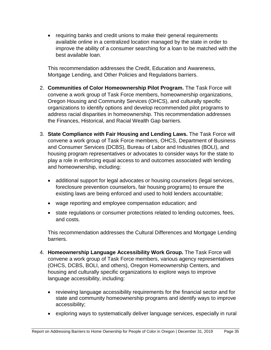• requiring banks and credit unions to make their general requirements available online in a centralized location managed by the state in order to improve the ability of a consumer searching for a loan to be matched with the best available loan.

This recommendation addresses the Credit, Education and Awareness, Mortgage Lending, and Other Policies and Regulations barriers.

- 2. **Communities of Color Homeownership Pilot Program.** The Task Force will convene a work group of Task Force members, homeownership organizations, Oregon Housing and Community Services (OHCS), and culturally specific organizations to identify options and develop recommended pilot programs to address racial disparities in homeownership. This recommendation addresses the Finances, Historical, and Racial Wealth Gap barriers.
- 3. **State Compliance with Fair Housing and Lending Laws.** The Task Force will convene a work group of Task Force members, OHCS, Department of Business and Consumer Services (DCBS), Bureau of Labor and Industries (BOLI), and housing program representatives or advocates to consider ways for the state to play a role in enforcing equal access to and outcomes associated with lending and homeownership, including:
	- additional support for legal advocates or housing counselors (legal services, foreclosure prevention counselors, fair housing programs) to ensure the existing laws are being enforced and used to hold lenders accountable;
	- wage reporting and employee compensation education; and
	- state regulations or consumer protections related to lending outcomes, fees, and costs.

This recommendation addresses the Cultural Differences and Mortgage Lending barriers.

- 4. **Homeownership Language Accessibility Work Group.** The Task Force will convene a work group of Task Force members, various agency representatives (OHCS, DCBS, BOLI, and others), Oregon Homeownership Centers, and housing and culturally specific organizations to explore ways to improve language accessibility, including:
	- reviewing language accessibility requirements for the financial sector and for state and community homeownership programs and identify ways to improve accessibility;
	- exploring ways to systematically deliver language services, especially in rural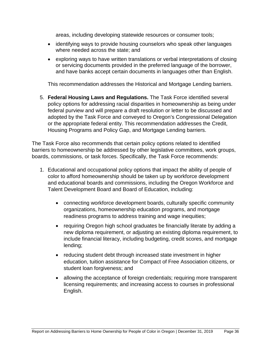areas, including developing statewide resources or consumer tools;

- identifying ways to provide housing counselors who speak other languages where needed across the state; and
- exploring ways to have written translations or verbal interpretations of closing or servicing documents provided in the preferred language of the borrower, and have banks accept certain documents in languages other than English.

This recommendation addresses the Historical and Mortgage Lending barriers.

5. **Federal Housing Laws and Regulations.** The Task Force identified several policy options for addressing racial disparities in homeownership as being under federal purview and will prepare a draft resolution or letter to be discussed and adopted by the Task Force and conveyed to Oregon's Congressional Delegation or the appropriate federal entity. This recommendation addresses the Credit, Housing Programs and Policy Gap, and Mortgage Lending barriers.

The Task Force also recommends that certain policy options related to identified barriers to homeownership be addressed by other legislative committees, work groups, boards, commissions, or task forces. Specifically, the Task Force recommends:

- 1. Educational and occupational policy options that impact the ability of people of color to afford homeownership should be taken up by workforce development and educational boards and commissions, including the Oregon Workforce and Talent Development Board and Board of Education, including:
	- connecting workforce development boards, culturally specific community organizations, homeownership education programs, and mortgage readiness programs to address training and wage inequities;
	- requiring Oregon high school graduates be financially literate by adding a new diploma requirement, or adjusting an existing diploma requirement, to include financial literacy, including budgeting, credit scores, and mortgage lending;
	- reducing student debt through increased state investment in higher education, tuition assistance for Compact of Free Association citizens, or student loan forgiveness; and
	- allowing the acceptance of foreign credentials; requiring more transparent licensing requirements; and increasing access to courses in professional English.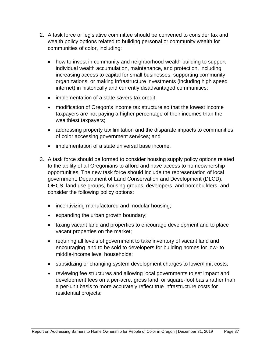- 2. A task force or legislative committee should be convened to consider tax and wealth policy options related to building personal or community wealth for communities of color, including:
	- how to invest in community and neighborhood wealth-building to support individual wealth accumulation, maintenance, and protection, including increasing access to capital for small businesses, supporting community organizations, or making infrastructure investments (including high speed internet) in historically and currently disadvantaged communities;
	- implementation of a state savers tax credit:
	- modification of Oregon's income tax structure so that the lowest income taxpayers are not paying a higher percentage of their incomes than the wealthiest taxpayers;
	- addressing property tax limitation and the disparate impacts to communities of color accessing government services; and
	- implementation of a state universal base income.
- 3. A task force should be formed to consider housing supply policy options related to the ability of all Oregonians to afford and have access to homeownership opportunities. The new task force should include the representation of local government, Department of Land Conservation and Development (DLCD), OHCS, land use groups, housing groups, developers, and homebuilders, and consider the following policy options:
	- incentivizing manufactured and modular housing;
	- expanding the urban growth boundary;
	- taxing vacant land and properties to encourage development and to place vacant properties on the market;
	- requiring all levels of government to take inventory of vacant land and encouraging land to be sold to developers for building homes for low- to middle-income level households;
	- subsidizing or changing system development charges to lower/limit costs;
	- reviewing fee structures and allowing local governments to set impact and development fees on a per-acre, gross land, or square-foot basis rather than a per-unit basis to more accurately reflect true infrastructure costs for residential projects;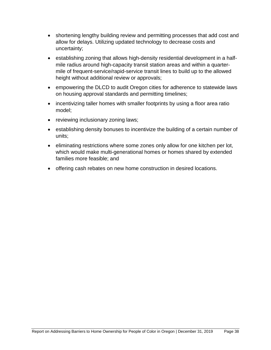- shortening lengthy building review and permitting processes that add cost and allow for delays. Utilizing updated technology to decrease costs and uncertainty;
- establishing zoning that allows high-density residential development in a halfmile radius around high-capacity transit station areas and within a quartermile of frequent-service/rapid-service transit lines to build up to the allowed height without additional review or approvals;
- empowering the DLCD to audit Oregon cities for adherence to statewide laws on housing approval standards and permitting timelines;
- incentivizing taller homes with smaller footprints by using a floor area ratio model;
- reviewing inclusionary zoning laws;
- establishing density bonuses to incentivize the building of a certain number of units;
- eliminating restrictions where some zones only allow for one kitchen per lot, which would make multi-generational homes or homes shared by extended families more feasible; and
- offering cash rebates on new home construction in desired locations.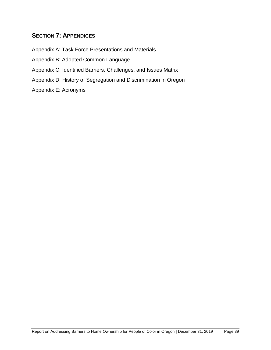# <span id="page-43-0"></span>**SECTION 7: APPENDICES**

Appendix A: Task Force Presentations and Materials

Appendix B: Adopted Common Language

- Appendix C: Identified Barriers, Challenges, and Issues Matrix
- Appendix D: History of Segregation and Discrimination in Oregon

Appendix E: Acronyms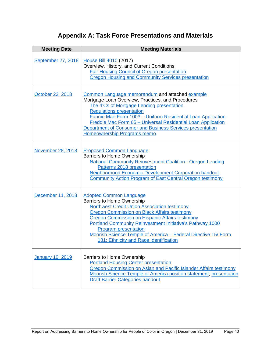# **Appendix A: Task Force Presentations and Materials**

<span id="page-44-0"></span>

| <b>Meeting Date</b> | <b>Meeting Materials</b>                                                                                                                                                                                                                                                                                                                                                                                                                            |
|---------------------|-----------------------------------------------------------------------------------------------------------------------------------------------------------------------------------------------------------------------------------------------------------------------------------------------------------------------------------------------------------------------------------------------------------------------------------------------------|
| September 27, 2018  | House Bill 4010 (2017)<br>Overview, History, and Current Conditions<br>Fair Housing Council of Oregon presentation<br>Oregon Housing and Community Services presentation                                                                                                                                                                                                                                                                            |
| October 22, 2018    | Common Language memorandum and attached example<br>Mortgage Loan Overview, Practices, and Procedures<br>The 4'Cs of Mortgage Lending presentation<br><b>Regulations presentation</b><br>Fannie Mae Form 1003 - Uniform Residential Loan Application<br>Freddie Mac Form 65 - Universal Residential Loan Application<br>Department of Consumer and Business Services presentation<br>Homeownership Programs memo                                     |
| November 28, 2018   | <b>Proposed Common Language</b><br><b>Barriers to Home Ownership</b><br><b>National Community Reinvestment Coalition - Oregon Lending</b><br>Patterns 2018 presentation<br><b>Neighborhood Economic Development Corporation handout</b><br>Community Action Program of East Central Oregon testimony                                                                                                                                                |
| December 11, 2018   | <b>Adopted Common Language</b><br><b>Barriers to Home Ownership</b><br><b>Northwest Credit Union Association testimony</b><br><b>Oregon Commission on Black Affairs testimony</b><br><b>Oregon Commission on Hispanic Affairs testimony</b><br>Portland Community Reinvestment Initiative's Pathway 1000<br><b>Program presentation</b><br>Moorish Science Temple of America - Federal Directive 15/ Form<br>181: Ethnicity and Race Identification |
| January 10, 2019    | <b>Barriers to Home Ownership</b><br><b>Portland Housing Center presentation</b><br>Oregon Commission on Asian and Pacific Islander Affairs testimony<br>Moorish Science Temple of America position statement, presentation<br><b>Draft Barrier Categories handout</b>                                                                                                                                                                              |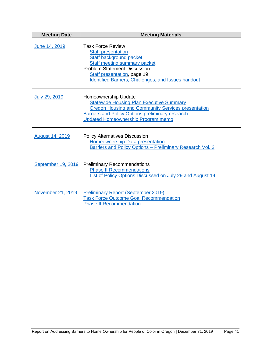| <b>Meeting Date</b>    | <b>Meeting Materials</b>                                                                                                                                                                                                                                    |
|------------------------|-------------------------------------------------------------------------------------------------------------------------------------------------------------------------------------------------------------------------------------------------------------|
| June 14, 2019          | <b>Task Force Review</b><br><b>Staff presentation</b><br>Staff background packet<br>Staff meeting summary packet<br><b>Problem Statement Discussion</b><br><b>Staff presentation, page 19</b><br><b>Identified Barriers, Challenges, and Issues handout</b> |
| July 29, 2019          | <b>Homeownership Update</b><br><b>Statewide Housing Plan Executive Summary</b><br>Oregon Housing and Community Services presentation<br><b>Barriers and Policy Options preliminary research</b><br><b>Updated Homeownership Program memo</b>                |
| <b>August 14, 2019</b> | <b>Policy Alternatives Discussion</b><br><b>Homeownership Data presentation</b><br>Barriers and Policy Options - Preliminary Research Vol. 2                                                                                                                |
| September 19, 2019     | <b>Preliminary Recommendations</b><br><b>Phase II Recommendations</b><br>List of Policy Options Discussed on July 29 and August 14                                                                                                                          |
| November 21, 2019      | <b>Preliminary Report (September 2019)</b><br><b>Task Force Outcome Goal Recommendation</b><br><b>Phase II Recommendation</b>                                                                                                                               |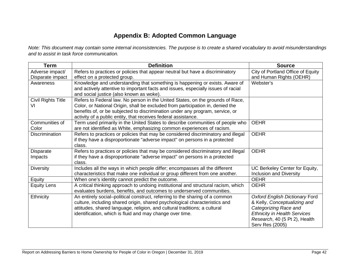# **Appendix B: Adopted Common Language**

*Note: This document may contain some internal inconsistencies. The purpose is to create a shared vocabulary to avoid misunderstandings and to assist in task force communication.*

<span id="page-46-0"></span>

| <b>Term</b>           | <b>Definition</b>                                                                    | <b>Source</b>                       |
|-----------------------|--------------------------------------------------------------------------------------|-------------------------------------|
| Adverse impact/       | Refers to practices or policies that appear neutral but have a discriminatory        | City of Portland Office of Equity   |
| Disparate impact      | effect on a protected group.                                                         | and Human Rights (OEHR)             |
| Awareness             | Knowledge and understanding that something is happening or exists. Aware of          | Webster's                           |
|                       | and actively attentive to important facts and issues, especially issues of racial    |                                     |
|                       | and social justice (also known as woke).                                             |                                     |
| Civil Rights Title    | Refers to Federal law. No person in the United States, on the grounds of Race,       |                                     |
| VI                    | Color, or National Origin, shall be excluded from participation in, denied the       |                                     |
|                       | benefits of, or be subjected to discrimination under any program, service, or        |                                     |
|                       | activity of a public entity, that receives federal assistance.                       |                                     |
| Communities of        | Term used primarily in the United States to describe communities of people who       | <b>OEHR</b>                         |
| Color                 | are not identified as White, emphasizing common experiences of racism.               |                                     |
| <b>Discrimination</b> | Refers to practices or policies that may be considered discriminatory and illegal    | <b>OEHR</b>                         |
|                       | if they have a disproportionate "adverse impact" on persons in a protected<br>class. |                                     |
| <b>Disparate</b>      | Refers to practices or policies that may be considered discriminatory and illegal    | <b>OEHR</b>                         |
| Impacts               | if they have a disproportionate "adverse impact" on persons in a protected           |                                     |
|                       | class.                                                                               |                                     |
| <b>Diversity</b>      | Includes all the ways in which people differ; encompasses all the different          | UC Berkeley Center for Equity,      |
|                       | characteristics that make one individual or group different from one another.        | Inclusion and Diversity             |
| Equity                | When one's identity cannot predict the outcome.                                      | <b>OEHR</b>                         |
| <b>Equity Lens</b>    | A critical thinking approach to undoing institutional and structural racism, which   | <b>OEHR</b>                         |
|                       | evaluates burdens, benefits, and outcomes to underserved communities.                |                                     |
| Ethnicity             | An entirely social-political construct, referring to the sharing of a common         | Oxford English Dictionary Ford      |
|                       | culture, including shared origin, shared psychological characteristics and           | & Kelly, Conceptualizing and        |
|                       | attitudes, shared language, religion, and cultural traditions; a cultural            | Categorizing Race and               |
|                       | identification, which is fluid and may change over time.                             | <b>Ethnicity in Health Services</b> |
|                       |                                                                                      | Research, 40 (5 Pt 2), Health       |
|                       |                                                                                      | Serv Res (2005)                     |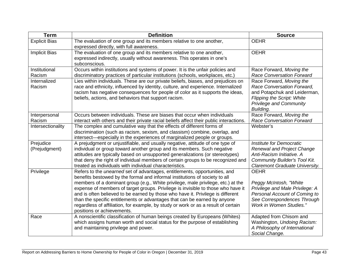| <b>Term</b>                | <b>Definition</b>                                                                                                                                                                                                                                                                                                                                                                                                                                                                                                                                                                                                            | <b>Source</b>                                                                                                                                                              |
|----------------------------|------------------------------------------------------------------------------------------------------------------------------------------------------------------------------------------------------------------------------------------------------------------------------------------------------------------------------------------------------------------------------------------------------------------------------------------------------------------------------------------------------------------------------------------------------------------------------------------------------------------------------|----------------------------------------------------------------------------------------------------------------------------------------------------------------------------|
| <b>Explicit Bias</b>       | The evaluation of one group and its members relative to one another,<br>expressed directly, with full awareness.                                                                                                                                                                                                                                                                                                                                                                                                                                                                                                             | <b>OEHR</b>                                                                                                                                                                |
| <b>Implicit Bias</b>       | The evaluation of one group and its members relative to one another,<br>expressed indirectly, usually without awareness. This operates in one's<br>subconscious.                                                                                                                                                                                                                                                                                                                                                                                                                                                             | <b>OEHR</b>                                                                                                                                                                |
| Institutional<br>Racism    | Occurs within institutions and systems of power. It is the unfair policies and<br>discriminatory practices of particular institutions (schools, workplaces, etc.)                                                                                                                                                                                                                                                                                                                                                                                                                                                            | Race Forward, Moving the<br><b>Race Conversation Forward</b>                                                                                                               |
| Internalized<br>Racism     | Lies within individuals. These are our private beliefs, biases, and prejudices on<br>race and ethnicity, influenced by identity, culture, and experience. Internalized<br>racism has negative consequences for people of color as it supports the ideas,<br>beliefs, actions, and behaviors that support racism.                                                                                                                                                                                                                                                                                                             | Race Forward, Moving the<br>Race Conversation Forward,<br>and Potapchuk and Leiderman,<br><b>Flipping the Script: White</b><br><b>Privilege and Community</b><br>Building. |
| Interpersonal<br>Racism    | Occurs between individuals. These are biases that occur when individuals<br>interact with others and their private racial beliefs affect their public interactions.                                                                                                                                                                                                                                                                                                                                                                                                                                                          | Race Forward, Moving the<br><b>Race Conversation Forward</b>                                                                                                               |
| Intersectionality          | The complex and cumulative way that the effects of different forms of<br>discrimination (such as racism, sexism, and classism) combine, overlap, and<br>intersect—especially in the experiences of marginalized people or groups.                                                                                                                                                                                                                                                                                                                                                                                            | Webster's                                                                                                                                                                  |
| Prejudice<br>(Prejudgment) | A prejudgment or unjustifiable, and usually negative, attitude of one type of<br>individual or group toward another group and its members. Such negative<br>attitudes are typically based on unsupported generalizations (or stereotypes)<br>that deny the right of individual members of certain groups to be recognized and<br>treated as individuals with individual characteristics.                                                                                                                                                                                                                                     | Institute for Democratic<br><b>Renewal and Project Change</b><br>Anti-Racism Initiative. A<br><b>Community Builder's Tool Kit.</b><br>Claremont Graduate University.       |
| Privilege                  | Refers to the <i>unearned</i> set of advantages, entitlements, opportunities, and<br>benefits bestowed by the formal and informal institutions of society to all<br>members of a dominant group (e.g., White privilege, male privilege, etc.) at the<br>expense of members of target groups. Privilege is invisible to those who have it<br>and is often believed to be earned by those who have it. Privilege is different<br>than the specific entitlements or advantages that can be earned by anyone<br>regardless of affiliation, for example, by study or work or as a result of certain<br>positions or achievements. | <b>OEHR</b><br>Peggy McIntosh, "White<br>Privilege and Male Privilege: A<br>Personal Account of Coming to<br>See Correspondences Through<br><b>Work in Women Studies."</b> |
| Race                       | A nonscientific classification of human beings created by Europeans (Whites)<br>which assigns human worth and social status for the purpose of establishing<br>and maintaining privilege and power.                                                                                                                                                                                                                                                                                                                                                                                                                          | Adapted from Chisom and<br>Washington, Undoing Racism:<br>A Philosophy of International<br>Social Change.                                                                  |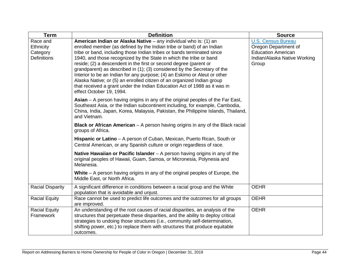| <b>Term</b>                                             | <b>Definition</b>                                                                                                                                                                                                                                                                                                                                                                                                                                                                                                                                                                                                                                                                                          | <b>Source</b>                                                                                                           |
|---------------------------------------------------------|------------------------------------------------------------------------------------------------------------------------------------------------------------------------------------------------------------------------------------------------------------------------------------------------------------------------------------------------------------------------------------------------------------------------------------------------------------------------------------------------------------------------------------------------------------------------------------------------------------------------------------------------------------------------------------------------------------|-------------------------------------------------------------------------------------------------------------------------|
| Race and<br>Ethnicity<br>Category<br><b>Definitions</b> | American Indian or Alaska Native - any individual who is: (1) an<br>enrolled member (as defined by the Indian tribe or band) of an Indian<br>tribe or band, including those Indian tribes or bands terminated since<br>1940, and those recognized by the State in which the tribe or band<br>reside; (2) a descendent in the first or second degree (parent or<br>grandparent) as described in (1); (3) considered by the Secretary of the<br>Interior to be an Indian for any purpose; (4) an Eskimo or Aleut or other<br>Alaska Native; or (5) an enrolled citizen of an organized Indian group<br>that received a grant under the Indian Education Act of 1988 as it was in<br>effect October 19, 1994. | <b>U.S. Census Bureau</b><br>Oregon Department of<br><b>Education American</b><br>Indian/Alaska Native Working<br>Group |
|                                                         | <b>Asian</b> – A person having origins in any of the original peoples of the Far East,<br>Southeast Asia, or the Indian subcontinent including, for example, Cambodia,<br>China, India, Japan, Korea, Malaysia, Pakistan, the Philippine Islands, Thailand,<br>and Vietnam.                                                                                                                                                                                                                                                                                                                                                                                                                                |                                                                                                                         |
|                                                         | <b>Black or African American</b> $-$ A person having origins in any of the Black racial<br>groups of Africa.                                                                                                                                                                                                                                                                                                                                                                                                                                                                                                                                                                                               |                                                                                                                         |
|                                                         | Hispanic or Latino - A person of Cuban, Mexican, Puerto Rican, South or<br>Central American, or any Spanish culture or origin regardless of race.                                                                                                                                                                                                                                                                                                                                                                                                                                                                                                                                                          |                                                                                                                         |
|                                                         | Native Hawaiian or Pacific Islander $-$ A person having origins in any of the<br>original peoples of Hawaii, Guam, Samoa, or Micronesia, Polynesia and<br>Melanesia.                                                                                                                                                                                                                                                                                                                                                                                                                                                                                                                                       |                                                                                                                         |
|                                                         | White – A person having origins in any of the original peoples of Europe, the<br>Middle East, or North Africa.                                                                                                                                                                                                                                                                                                                                                                                                                                                                                                                                                                                             |                                                                                                                         |
| <b>Racial Disparity</b>                                 | A significant difference in conditions between a racial group and the White<br>population that is avoidable and unjust.                                                                                                                                                                                                                                                                                                                                                                                                                                                                                                                                                                                    | <b>OEHR</b>                                                                                                             |
| <b>Racial Equity</b>                                    | Race cannot be used to predict life outcomes and the outcomes for all groups<br>are improved.                                                                                                                                                                                                                                                                                                                                                                                                                                                                                                                                                                                                              | <b>OEHR</b>                                                                                                             |
| <b>Racial Equity</b><br>Framework                       | An understanding of the root causes of racial disparities, an analysis of the<br>structures that perpetuate these disparities, and the ability to deploy critical<br>strategies to undoing those structures (i.e., community self-determination,<br>shifting power, etc.) to replace them with structures that produce equitable<br>outcomes.                                                                                                                                                                                                                                                                                                                                                              | <b>OEHR</b>                                                                                                             |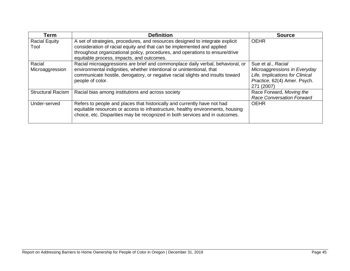| Term                         | <b>Definition</b>                                                                                                                                                                                                                                                                    | <b>Source</b>                                                                                                                       |
|------------------------------|--------------------------------------------------------------------------------------------------------------------------------------------------------------------------------------------------------------------------------------------------------------------------------------|-------------------------------------------------------------------------------------------------------------------------------------|
| <b>Racial Equity</b><br>Tool | A set of strategies, procedures, and resources designed to integrate explicit<br>consideration of racial equity and that can be implemented and applied<br>throughout organizational policy, procedures, and operations to ensure/drive<br>equitable process, impacts, and outcomes. | <b>OEHR</b>                                                                                                                         |
| Racial<br>Microaggression    | Racial microaggressions are brief and commonplace daily verbal, behavioral, or<br>environmental indignities, whether intentional or unintentional, that<br>communicate hostile, derogatory, or negative racial slights and insults toward<br>people of color.                        | Sue et al., Racial<br>Microaggressions in Everyday<br>Life, Implications for Clinical<br>Practice, 62(4) Amer. Psych.<br>271 (2007) |
| <b>Structural Racism</b>     | Racial bias among institutions and across society                                                                                                                                                                                                                                    | Race Forward, Moving the<br><b>Race Conversation Forward</b>                                                                        |
| Under-served                 | Refers to people and places that historically and currently have not had<br>equitable resources or access to infrastructure, healthy environments, housing<br>choice, etc. Disparities may be recognized in both services and in outcomes.                                           | <b>OEHR</b>                                                                                                                         |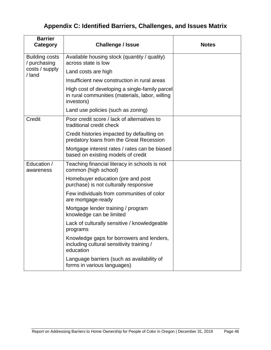# <span id="page-50-0"></span>**Appendix C: Identified Barriers, Challenges, and Issues Matrix**

| <b>Barrier</b><br>Category            | <b>Challenge / Issue</b>                                                                                        | <b>Notes</b> |
|---------------------------------------|-----------------------------------------------------------------------------------------------------------------|--------------|
| <b>Building costs</b><br>/ purchasing | Available housing stock (quantity / quality)<br>across state is low                                             |              |
| costs / supply<br>/ land              | Land costs are high                                                                                             |              |
|                                       | Insufficient new construction in rural areas                                                                    |              |
|                                       | High cost of developing a single-family parcel<br>in rural communities (materials, labor, willing<br>investors) |              |
|                                       | Land use policies (such as zoning)                                                                              |              |
| Credit                                | Poor credit score / lack of alternatives to<br>traditional credit check                                         |              |
|                                       | Credit histories impacted by defaulting on<br>predatory loans from the Great Recession                          |              |
|                                       | Mortgage interest rates / rates can be biased<br>based on existing models of credit                             |              |
| Education /<br>awareness              | Teaching financial literacy in schools is not<br>common (high school)                                           |              |
|                                       | Homebuyer education (pre and post<br>purchase) is not culturally responsive                                     |              |
|                                       | Few individuals from communities of color<br>are mortgage-ready                                                 |              |
|                                       | Mortgage lender training / program<br>knowledge can be limited                                                  |              |
|                                       | Lack of culturally sensitive / knowledgeable<br>programs                                                        |              |
|                                       | Knowledge gaps for borrowers and lenders,<br>including cultural sensitivity training /<br>education             |              |
|                                       | Language barriers (such as availability of<br>forms in various languages)                                       |              |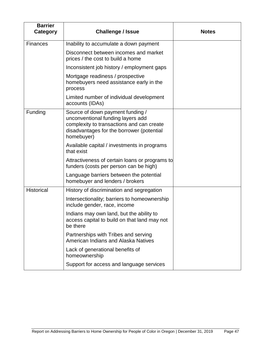| <b>Barrier</b><br>Category | <b>Challenge / Issue</b>                                                                                                                                                      | <b>Notes</b> |
|----------------------------|-------------------------------------------------------------------------------------------------------------------------------------------------------------------------------|--------------|
| <b>Finances</b>            | Inability to accumulate a down payment                                                                                                                                        |              |
|                            | Disconnect between incomes and market<br>prices / the cost to build a home                                                                                                    |              |
|                            | Inconsistent job history / employment gaps                                                                                                                                    |              |
|                            | Mortgage readiness / prospective<br>homebuyers need assistance early in the<br>process                                                                                        |              |
|                            | Limited number of individual development<br>accounts (IDAs)                                                                                                                   |              |
| Funding                    | Source of down payment funding /<br>unconventional funding layers add<br>complexity to transactions and can create<br>disadvantages for the borrower (potential<br>homebuyer) |              |
|                            | Available capital / investments in programs<br>that exist                                                                                                                     |              |
|                            | Attractiveness of certain loans or programs to<br>funders (costs per person can be high)                                                                                      |              |
|                            | Language barriers between the potential<br>homebuyer and lenders / brokers                                                                                                    |              |
| <b>Historical</b>          | History of discrimination and segregation                                                                                                                                     |              |
|                            | Intersectionality; barriers to homeownership<br>include gender, race, income                                                                                                  |              |
|                            | Indians may own land, but the ability to<br>access capital to build on that land may not<br>be there                                                                          |              |
|                            | Partnerships with Tribes and serving<br>American Indians and Alaska Natives                                                                                                   |              |
|                            | Lack of generational benefits of<br>homeownership                                                                                                                             |              |
|                            | Support for access and language services                                                                                                                                      |              |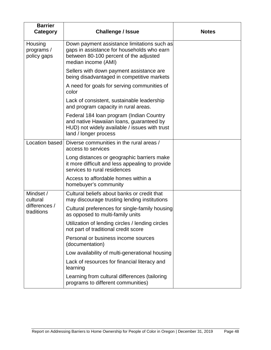| <b>Barrier</b><br>Category                           | <b>Challenge / Issue</b>                                                                                                                                       | <b>Notes</b> |
|------------------------------------------------------|----------------------------------------------------------------------------------------------------------------------------------------------------------------|--------------|
| Housing<br>programs /<br>policy gaps                 | Down payment assistance limitations such as<br>gaps in assistance for households who earn<br>between 80-100 percent of the adjusted<br>median income (AMI)     |              |
|                                                      | Sellers with down payment assistance are<br>being disadvantaged in competitive markets                                                                         |              |
|                                                      | A need for goals for serving communities of<br>color                                                                                                           |              |
|                                                      | Lack of consistent, sustainable leadership<br>and program capacity in rural areas.                                                                             |              |
|                                                      | Federal 184 Ioan program (Indian Country<br>and native Hawaiian loans, guaranteed by<br>HUD) not widely available / issues with trust<br>land / longer process |              |
| Location based                                       | Diverse communities in the rural areas /<br>access to services                                                                                                 |              |
|                                                      | Long distances or geographic barriers make<br>it more difficult and less appealing to provide<br>services to rural residences                                  |              |
|                                                      | Access to affordable homes within a<br>homebuyer's community                                                                                                   |              |
| Mindset /<br>cultural<br>differences /<br>traditions | Cultural beliefs about banks or credit that<br>may discourage trusting lending institutions                                                                    |              |
|                                                      | Cultural preferences for single-family housing<br>as opposed to multi-family units                                                                             |              |
|                                                      | Utilization of lending circles / lending circles<br>not part of traditional credit score                                                                       |              |
|                                                      | Personal or business income sources<br>(documentation)                                                                                                         |              |
|                                                      | Low availability of multi-generational housing                                                                                                                 |              |
|                                                      | Lack of resources for financial literacy and<br>learning                                                                                                       |              |
|                                                      | Learning from cultural differences (tailoring<br>programs to different communities)                                                                            |              |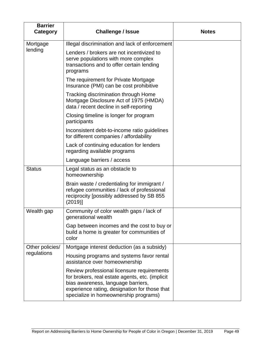| <b>Barrier</b><br>Category     | <b>Challenge / Issue</b>                                                                                                                                                                                                      | <b>Notes</b> |
|--------------------------------|-------------------------------------------------------------------------------------------------------------------------------------------------------------------------------------------------------------------------------|--------------|
| Mortgage                       | Illegal discrimination and lack of enforcement                                                                                                                                                                                |              |
| lending                        | Lenders / brokers are not incentivized to<br>serve populations with more complex<br>transactions and to offer certain lending<br>programs                                                                                     |              |
|                                | The requirement for Private Mortgage<br>Insurance (PMI) can be cost prohibitive                                                                                                                                               |              |
|                                | Tracking discrimination through Home<br>Mortgage Disclosure Act of 1975 (HMDA)<br>data / recent decline in self-reporting                                                                                                     |              |
|                                | Closing timeline is longer for program<br>participants                                                                                                                                                                        |              |
|                                | Inconsistent debt-to-income ratio guidelines<br>for different companies / affordability                                                                                                                                       |              |
|                                | Lack of continuing education for lenders<br>regarding available programs                                                                                                                                                      |              |
|                                | Language barriers / access                                                                                                                                                                                                    |              |
| <b>Status</b>                  | Legal status as an obstacle to<br>homeownership                                                                                                                                                                               |              |
|                                | Brain waste / credentialing for immigrant /<br>refugee communities / lack of professional<br>reciprocity [possibly addressed by SB 855<br>(2019)                                                                              |              |
| Wealth gap                     | Community of color wealth gaps / lack of<br>generational wealth                                                                                                                                                               |              |
|                                | Gap between incomes and the cost to buy or<br>build a home is greater for communities of<br>color                                                                                                                             |              |
| Other policies/<br>regulations | Mortgage interest deduction (as a subsidy)                                                                                                                                                                                    |              |
|                                | Housing programs and systems favor rental<br>assistance over homeownership                                                                                                                                                    |              |
|                                | Review professional licensure requirements<br>for brokers, real estate agents, etc. (implicit<br>bias awareness, language barriers,<br>experience rating, designation for those that<br>specialize in homeownership programs) |              |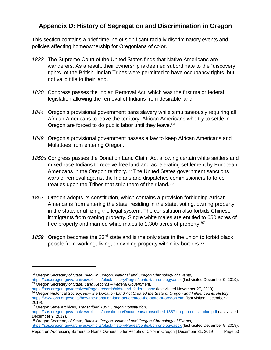# <span id="page-54-0"></span>**Appendix D: History of Segregation and Discrimination in Oregon**

This section contains a brief timeline of significant racially discriminatory events and policies affecting homeownership for Oregonians of color.

- *1823* The Supreme Court of the United States finds that Native Americans are wanderers. As a result, their ownership is deemed subordinate to the "discovery rights" of the British. Indian Tribes were permitted to have occupancy rights, but not valid title to their land.
- *1830* Congress passes the Indian Removal Act, which was the first major federal legislation allowing the removal of Indians from desirable land.
- *1844* Oregon's provisional government bans slavery while simultaneously requiring all African Americans to leave the territory. African Americans who try to settle in Oregon are forced to do public labor until they leave.<sup>[84](#page-54-1)</sup>
- *1849* Oregon's provisional government passes a law to keep African Americans and Mulattoes from entering Oregon.
- *1850s* Congress passes the Donation Land Claim Act allowing certain white settlers and mixed-race Indians to receive free land and accelerating settlement by European Americans in the Oregon territory.<sup>[85](#page-54-2)</sup> The United States government sanctions wars of removal against the Indians and dispatches commissioners to force treaties upon the Tribes that strip them of their land.<sup>86</sup>
- *1857* Oregon adopts its constitution, which contains a provision forbidding African Americans from entering the state, residing in the state, voting, owning property in the state, or utilizing the legal system. The constitution also forbids Chinese immigrants from owning property. Single white males are entitled to 650 acres of free property and married white males to 1,300 acres of property.[87](#page-54-4)
- 1859 Oregon becomes the 33<sup>rd</sup> state and is the only state in the union to forbid black people from working, living, or owning property within its borders.<sup>[88](#page-54-5)</sup>

<span id="page-54-4"></span><sup>87</sup> Oregon State Archives, *Transcribed 1857 Oregon Constitution*,

<span id="page-54-1"></span><sup>84</sup> Oregon Secretary of State, *Black in Oregon, National and Oregon Chronology of Events*, <https://sos.oregon.gov/archives/exhibits/black-history/Pages/context/chronology.aspx> (last visited December 9, 2019).

<span id="page-54-3"></span><span id="page-54-2"></span><sup>85</sup> Oregon Secretary of State, *Land Records – Federal Government*,<br>https://sos.oregon.gov/archives/Pages/records/aids-land federal.aspx (last visited November 27, 2019). <sup>86</sup> Oregon Historical Society, How the Donation Land Act Created the State of Oregon and Influenced its History, <https://www.ohs.org/events/how-the-donation-land-act-created-the-state-of-oregon.cfm> (last visited December 2, 2019).

<https://sos.oregon.gov/archives/exhibits/constitution/Documents/transcribed-1857-oregon-constitution.pdf> (last visited December 9, 2019).

<span id="page-54-5"></span><sup>88</sup> Oregon Secretary of State, *Black in Oregon, National and Oregon Chronology of Events*, <https://sos.oregon.gov/archives/exhibits/black-history/Pages/context/chronology.aspx> (last visited December 9, 2019).

Report on Addressing Barriers to Home Ownership for People of Color in Oregon | December 31, 2019 Page 50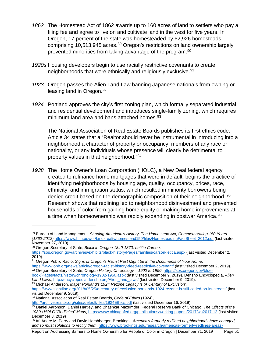- *1862* The Homestead Act of 1862 awards up to 160 acres of land to settlers who pay a filing fee and agree to live on and cultivate land in the west for five years. In Oregon, 17 percent of the state was homesteaded by 62,926 homesteads, comprising 10,513,945 acres.<sup>[89](#page-55-0)</sup> Oregon's restrictions on land ownership largely prevented minorities from taking advantage of the program.[90](#page-55-1)
- *1920s* Housing developers begin to use racially restrictive covenants to create neighborhoods that were ethnically and religiously exclusive.<sup>[91](#page-55-2)</sup>
- *1923* Oregon passes the Alien Land Law banning Japanese nationals from owning or leasing land in Oregon. [92](#page-55-3)
- *1924* Portland approves the city's first zoning plan, which formally separated industrial and residential development and introduces single-family zoning, which requires minimum land area and bans attached homes.<sup>[93](#page-55-4)</sup>

The National Association of Real Estate Boards publishes its first ethics code. Article 34 states that a "Realtor should never be instrumental in introducing into a neighborhood a character of property or occupancy, members of any race or nationality, or any individuals whose presence will clearly be detrimental to property values in that neighborhood."[94](#page-55-5)

*1938* The Home Owner's Loan Corporation (HOLC), a New Deal federal agency created to refinance home mortgages that were in default, begins the practice of identifying neighborhoods by housing age, quality, occupancy, prices, race, ethnicity, and immigration status, which resulted in minority borrowers being denied credit based on the demographic composition of their neighborhood. <sup>[95](#page-55-6)</sup> Research shows that redlining led to neighborhood disinvestment and prevented households of color from gaining home equity or making home improvements at a time when homeownership was rapidly expanding in postwar America. [96](#page-55-7)

<span id="page-55-0"></span><sup>89</sup> Bureau of Land Management, *Shaping American's History, The Homestead Act, Commemorating 150 Years (1862-2012)* [https://www.blm.gov/or/landsrealty/homestead150/files/HomesteadingFactSheet\\_2012.pdf](https://www.blm.gov/or/landsrealty/homestead150/files/HomesteadingFactSheet_2012.pdf) (last visited November 27, 2019).

<span id="page-55-1"></span><sup>90</sup> Oregon Secretary of State, *Black in Oregon 1840-1870, Letitia Carson,*

<https://sos.oregon.gov/archives/exhibits/black-history/Pages/families/carson-letitia.aspx> (last visited December 2, 2019).

<span id="page-55-2"></span><sup>91</sup> Oregon Public Radio, *Signs of Oregon's Racist Past Might be in the Documents of Your Home,*

<https://www.opb.org/news/article/oregon-racist-history-deed-restrictive-covenant/> (last visited December 2, 2019). <sup>92</sup> Oregon Secretary of State, *Oregon History: Chronology – 1902 to 1950*, [https://sos.oregon.gov/blue-](https://sos.oregon.gov/blue-book/Pages/facts/history/chronology-1902-1950.aspx)

<span id="page-55-3"></span>[book/Pages/facts/history/chronology-1902-1950.aspx](https://sos.oregon.gov/blue-book/Pages/facts/history/chronology-1902-1950.aspx) (last visited December 9, 2019). Densho Encyclopedia, *Alien Land Laws*[, http://encyclopedia.densho.org/Alien\\_land\\_laws/](http://encyclopedia.densho.org/Alien_land_laws/) (last visited December 9, 2019).

<span id="page-55-4"></span><sup>93</sup> Michael Anderson, *Maps: Portland's 1924 Rezone Legacy Is 'A Century of Exclusion',*

<https://www.sightline.org/2018/05/25/a-century-of-exclusion-portlands-1924-rezone-is-still-coded-on-its-streets/> (last visited December 9, 2019).

<span id="page-55-5"></span><sup>94</sup> National Association of Real Estate Boards, *Code of Ethics* (1924),

<http://archive.realtor.org/sites/default/files/1924Ethics.pdf> (last visited December 16, 2019).

<span id="page-55-6"></span><sup>95</sup> Daniel Aaronson, Daniel Hartley, and Bhashkar Mazumder, Federal Reserve Bank of Chicago, *The Effects of the 1930s HOLC "Redlining" Maps*[, https://www.chicagofed.org/publications/working-papers/2017/wp2017-12](https://www.chicagofed.org/publications/working-papers/2017/wp2017-12) (last visited December 8, 2019)

<span id="page-55-7"></span><sup>96</sup> *Id*. Andre M. Perry and David Harshbarger, Brookings, *America's formerly redlined neighborhoods have changed, and so must solutions to rectify them*, [https://www.brookings.edu/research/americas-formerly-redlines-areas-](https://www.brookings.edu/research/americas-formerly-redlines-areas-changed-so-must-solutions/)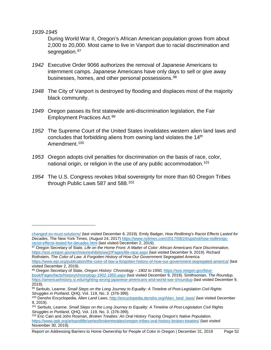*1939-1945*

 $\overline{a}$ 

During World War II, Oregon's African American population grows from about 2,000 to 20,000. Most came to live in Vanport due to racial discrimination and segregation.<sup>[97](#page-56-0)</sup>

- *1942* Executive Order 9066 authorizes the removal of Japanese Americans to internment camps. Japanese Americans have only days to sell or give away businesses, homes, and other personal possessions.<sup>[98](#page-56-1)</sup>
- *1948* The City of Vanport is destroyed by flooding and displaces most of the majority black community.
- *1949* Oregon passes its first statewide anti-discrimination legislation, the Fair Employment Practices Act.[99](#page-56-2)
- *1952* The Supreme Court of the United States invalidates western alien land laws and concludes that forbidding aliens from owning land violates the 14<sup>th</sup> Amendment.<sup>[100](#page-56-3)</sup>
- *1953* Oregon adopts civil penalties for discrimination on the basis of race, color, national origin, or religion in the use of any public accommodation.<sup>[101](#page-56-4)</sup>
- *1954* The U.S. Congress revokes tribal sovereignty for more than 60 Oregon Tribes through Public Laws 587 and 588. [102](#page-56-5)

<span id="page-56-1"></span><sup>98</sup> Oregon Secretary of State, *Oregon History: Chronology – 1902 to 1950*, [https://sos.oregon.gov/blue](https://sos.oregon.gov/blue-book/Pages/facts/history/chronology-1902-1950.aspx)[book/Pages/facts/history/chronology-1902-1950.aspx](https://sos.oregon.gov/blue-book/Pages/facts/history/chronology-1902-1950.aspx) (last visited December 9, 2019). Smithsonian, *The Roundup*, <https://americanhistory.si.edu/righting-wrong-japanese-americans-and-world-war-ii/roundup> (last visited December 9, 2019).

Report on Addressing Barriers to Home Ownership for People of Color in Oregon | December 31, 2019 Page 52

[changed-so-must-solutions/](https://www.brookings.edu/research/americas-formerly-redlines-areas-changed-so-must-solutions/) (last visited December 8, 2019). Emily Badger, *How Redlining's Racist Effects Lasted for Decades*, The New York Times, (August 24, 2017[\) https://www.nytimes.com/2017/08/24/upshot/how-redlinings](https://www.nytimes.com/2017/08/24/upshot/how-redlinings-racist-effects-lasted-for-decades.html)[racist-effects-lasted-for-decades.html](https://www.nytimes.com/2017/08/24/upshot/how-redlinings-racist-effects-lasted-for-decades.html) (last visited December 2, 2019).

<span id="page-56-0"></span><sup>97</sup> Oregon Secretary of State, *Life on the Home Front: A Matter of Color: African Americans Face Discrimination,* <https://sos.oregon.gov/archives/exhibits/ww2/Pages/life-race.aspx> (last visited December 9, 2019). Richard Rothstein*, The Color of Law: A Forgotten History of How Our Government Segregated America.* 

<https://www.epi.org/publication/the-color-of-law-a-forgotten-history-of-how-our-government-segregated-america/> (last visited December 2, 2019).

<span id="page-56-2"></span><sup>99</sup> Serbulo, Leanne. *Small Steps on the Long Journey to Equality: A Timeline of Post-Legislation Civil Rights Struggles in Portland*, QHQ, Vol. 119, No. 3. (376-399).

<span id="page-56-3"></span><sup>100</sup> Densho Encyclopedia, *Alien Land Laws*[, http://encyclopedia.densho.org/Alien\\_land\\_laws/](http://encyclopedia.densho.org/Alien_land_laws/) (last visited December 9, 2019).

<span id="page-56-4"></span><sup>101</sup> Serbulo, Leanne. *Small Steps on the Long Journey to Equality: A Timeline of Post-Legislation Civil Rights Struggles in Portland*, QHQ, Vol. 119, No. 3. (376-399).

<span id="page-56-5"></span><sup>102</sup> Eric Cain and John Rosman, *Broken Treaties: An Oral History Tracing Oregon's Native Population,* <https://www.opb.org/artsandlife/series/brokentreaties/oregon-tribes-oral-history-broken-treaties/> (last visited November 30, 2019).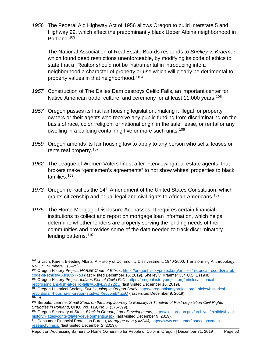*1956* The Federal Aid Highway Act of 1956 allows Oregon to build Interstate 5 and Highway 99, which affect the predominantly black Upper Albina neighborhood in Portland.[103](#page-57-0)

The National Association of Real Estate Boards responds to *Shelley v. Kraemer*, which found deed restrictions unenforceable, by modifying its code of ethics to state that a "Realtor should not be instrumental in introducing into a neighborhood a character of property or use which will clearly be detrimental to property values in that neighborhood."[104](#page-57-1)

- *1957* Construction of The Dalles Dam destroys Celilo Falls, an important center for Native American trade, culture, and ceremony for at least 11,000 years.<sup>[105](#page-57-2)</sup>
- *1957* Oregon passes its first fair housing legislation, making it illegal for property owners or their agents who receive any public funding from discriminating on the basis of race, color, religion, or national origin in the sale, lease, or rental or any dwelling in a building containing five or more such units.<sup>[106](#page-57-3)</sup>
- *1959* Oregon amends its fair housing law to apply to any person who sells, leases or rents real property.<sup>[107](#page-57-4)</sup>
- *1962* The League of Women Voters finds, after interviewing real estate agents, that brokers make "gentlemen's agreements" to not show whites' properties to black families.[108](#page-57-5)
- 1973 Oregon re-ratifies the 14<sup>th</sup> Amendment of the United States Constitution, which grants citizenship and equal legal and civil rights to African Americans.<sup>[109](#page-57-6)</sup>
- *1975* The Home Mortgage Disclosure Act passes. It requires certain financial institutions to collect and report on mortgage loan information, which helps determine whether lenders are properly serving the lending needs of their communities and provides some of the data needed to track discriminatory lending patterns.<sup>[110](#page-57-7)</sup>

<span id="page-57-2"></span>[records/indians-fish-at-celilo-falls/#.XffvEWBYZpQ](https://oregonhistoryproject.org/articles/historical-records/indians-fish-at-celilo-falls/#.XffvEWBYZpQ) (last visited December 16, 2019).

<span id="page-57-0"></span><sup>103</sup> Givson, Karen. Bleeding Albina: A History of Community Disinvestment, 1940-2000. Transforming Anthropology, Vol. 15, Numbers 1 (3–25).<br><sup>104</sup> Oregon History Project, *NAREB Code of Ethics*[, https://oregonhistoryproject.org/articles/historical-records/nareb-](https://oregonhistoryproject.org/articles/historical-records/nareb-code-of-ethics/#.Xfgj8vx7kb8)

<span id="page-57-1"></span>[code-of-ethics/#.Xfgj8vx7kb8](https://oregonhistoryproject.org/articles/historical-records/nareb-code-of-ethics/#.Xfgj8vx7kb8) (last Visited December 16, 2019). Shelley v. Kraemer 334 U.S. 1 (1948). <sup>105</sup> Oregon History Project, *Indians Fish at Celilo Falls*[, https://oregonhistoryproject.org/articles/historical-](https://oregonhistoryproject.org/articles/historical-records/indians-fish-at-celilo-falls/#.XffvEWBYZpQ)

<span id="page-57-3"></span><sup>106</sup> Oregon Historical Society, *Fair Housing In Oregon Study*, [https://oregonhistoryproject.org/articles/historical](https://oregonhistoryproject.org/articles/historical-records/fair-housing-in-oregon-study/#.Xe6JomBYZpQ)[records/fair-housing-in-oregon-study/#.Xe6JomBYZpQ](https://oregonhistoryproject.org/articles/historical-records/fair-housing-in-oregon-study/#.Xe6JomBYZpQ) (last visited December 9, 2019).

<span id="page-57-5"></span><span id="page-57-4"></span><sup>107</sup> *Id*. <sup>108</sup> Serbulo, Leanne. *Small Steps on the Long Journey to Equality: A Timeline of Post-Legislation Civil Rights Struggles in Portland*, QHQ, Vol. 119, No 3. (376-399).

<span id="page-57-6"></span><sup>109</sup> Oregon Secretary of State, *Black in Oregon, Later Developments*[, https://sos.oregon.gov/archives/exhibits/black](https://sos.oregon.gov/archives/exhibits/black-history/Pages/context/later-developments.aspx)[history/Pages/context/later-developments.aspx](https://sos.oregon.gov/archives/exhibits/black-history/Pages/context/later-developments.aspx) (last visited December 9, 2019).

<span id="page-57-7"></span><sup>110</sup> Consumer Financial Protection Bureau, *Mortgage data (HMDA),* [https://www.consumerfinance.gov/data](https://www.consumerfinance.gov/data-research/hmda/)[research/hmda/](https://www.consumerfinance.gov/data-research/hmda/) (last visited December 2, 2019).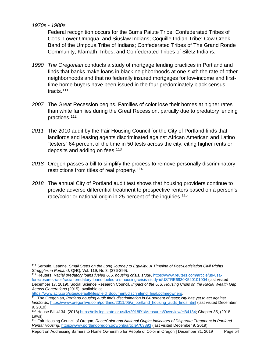*1970s - 1980s*

 $\overline{a}$ 

Federal recognition occurs for the Burns Paiute Tribe; Confederated Tribes of Coos, Lower Umpqua, and Siuslaw Indians; Coquille Indian Tribe; Cow Creek Band of the Umpqua Tribe of Indians; Confederated Tribes of The Grand Ronde Community; Klamath Tribes; and Confederated Tribes of Siletz Indians.

- *1990 The Oregonian* conducts a study of mortgage lending practices in Portland and finds that banks make loans in black neighborhoods at one-sixth the rate of other neighborhoods and that no federally insured mortgages for low-income and firsttime home buyers have been issued in the four predominately black census tracts.[111](#page-58-0)
- *2007* The Great Recession begins. Families of color lose their homes at higher rates than white families during the Great Recession, partially due to predatory lending practices.[112](#page-58-1)
- *2011* The 2010 audit by the Fair Housing Council for the City of Portland finds that landlords and leasing agents discriminated against African American and Latino "testers" 64 percent of the time in 50 tests across the city, citing higher rents or deposits and adding on fees.<sup>[113](#page-58-2)</sup>
- *2018* Oregon passes a bill to simplify the process to remove personally discriminatory restrictions from titles of real property.[114](#page-58-3)
- *2018* The annual City of Portland audit test shows that housing providers continue to provide adverse differential treatment to prospective renters based on a person's race/color or national origin in 25 percent of the inquiries.<sup>[115](#page-58-4)</sup>

<span id="page-58-0"></span><sup>111</sup> Serbulo, Leanne. *Small Steps on the Long Journey to Equality: A Timeline of Post-Legislation Civil Rights Struggles in Portland*, QHQ, Vol. 119, No 3. (376-399).<br><sup>112</sup> Reuters, *Racial predatory loans fueled U.S. housing crisis: study, [https://www.reuters.com/article/us-usa-](https://www.reuters.com/article/us-usa-foreclosures-race/racial-predatory-loans-fueled-u-s-housing-crisis-study-idUSTRE6930K520101004)*

<span id="page-58-1"></span>[foreclosures-race/racial-predatory-loans-fueled-u-s-housing-crisis-study-idUSTRE6930K520101004](https://www.reuters.com/article/us-usa-foreclosures-race/racial-predatory-loans-fueled-u-s-housing-crisis-study-idUSTRE6930K520101004) (last visited December 17, 2019). Social Science Research Council, *Impact of the U.S. Housing Crisis on the Racial Wealth Gap Across Generations* (2015), available at

[https://www.aclu.org/sites/default/files/field\\_document/discrimlend\\_final.pdfmeowners.](https://www.aclu.org/sites/default/files/field_document/discrimlend_final.pdfmeowners)

<span id="page-58-2"></span><sup>113</sup> The Oregonian, *Portland housing audit finds discrimination in 64 percent of tests; city has yet to act against landlords*[, https://www.oregonlive.com/portland/2011/05/a\\_portland\\_housing\\_audit\\_finds.html](https://www.oregonlive.com/portland/2011/05/a_portland_housing_audit_finds.html) (last visited December 9, 2019).

<span id="page-58-3"></span><sup>114</sup> House Bill 4134, (2018) [https://olis.leg.state.or.us/liz/2018R1/Measures/Overview/HB4134;](https://olis.leg.state.or.us/liz/2018R1/Measures/Overview/HB4134) Chapter 35, (2018 Laws).

<span id="page-58-4"></span><sup>115</sup> Fair Housing Council of Oregon, *Race/Color and National Origin: Indicators of Disparate Treatment in Portland Rental Housing*[, https://www.portlandoregon.gov/phb/article/703893](https://www.portlandoregon.gov/phb/article/703893) (last visited December 9, 2019).